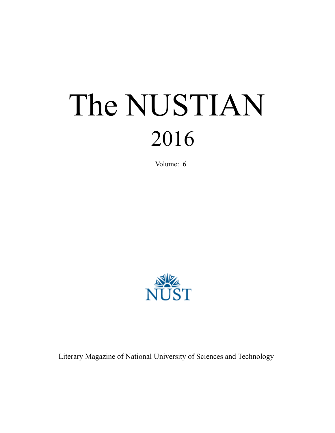# The NUSTIAN 2016

Volume: 6



Literary Magazine of National University of Sciences and Technology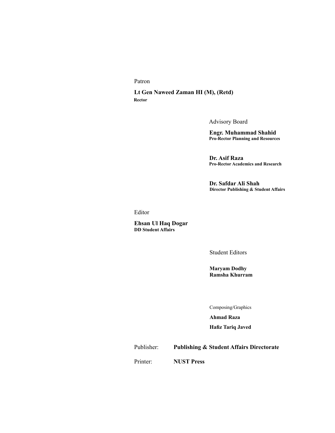Patron

 **Lt Gen Naweed Zaman HI (M), (Retd) Rector**

Advisory Board

 **Engr. Muhammad Shahid Pro-Rector Planning and Resources**

**Dr. Asif Raza<br>Pro-Rector Academics and Research** 

 **Dr. Safdar Ali Shah Director Publishing & Student Affairs**

Editor

**Ehsan Ul Haq Dogar DD Student Affairs**

Student Editors

**Maryam Dodhy Ramsha Khurram**

Composing/Graphics

**Ahmad Raza**

**Hafiz Tariq Javed**

Publisher: **Publishing & Student Affairs Directorate**

Printer: **NUST Press**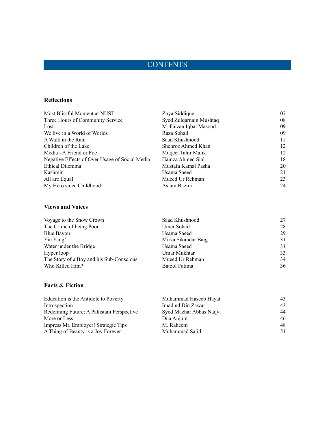# **CONTENTS**

### **Reflections**

| Most Blissful Moment at NUST                   | Zoya Siddique           | 07 |
|------------------------------------------------|-------------------------|----|
| Three Hours of Community Service               | Syed Zulqarnain Mushtaq | 08 |
| Lost                                           | M. Faizan Iqbal Masood  | 09 |
| We live in a World of Worlds                   | Raza Sohail             | 09 |
| A Walk in the Rain                             | Saad Khushnood          | 11 |
| Children of the Lake                           | Shehroz Ahmed Khan      | 12 |
| Media - A Friend or Foe                        | Muqeet Tahir Malik      | 12 |
| Negative Effects of Over Usage of Social Media | Hamza Ahmed Sial        | 18 |
| Ethical Dilemma                                | Mustafa Kamal Pasha     | 20 |
| Kashmir                                        | Usama Saeed             | 21 |
| All are Equal                                  | Mueed Ur Rehman         | 23 |
| My Hero since Childhood                        | Aslam Bazmi             | 24 |

### **Views and Voices**

| Voyage to the Snow Crown                 | Saad Khushnood      | 27 |
|------------------------------------------|---------------------|----|
| The Crime of being Poor                  | Umer Sohail         | 28 |
| Blue Bayou                               | Usama Saeed         | 29 |
| Yin Yang'                                | Mirza Sikandar Baig | 31 |
| Water under the Bridge                   | Usama Saeed         | 31 |
| Hyper loop                               | Umar Mukhtar        | 33 |
| The Story of a Boy and his Sub-Conscious | Mueed Ur Rehman     | 34 |
| Who Killed Him?                          | Batool Fatima       | 36 |

### **Facts & Fiction**

| Education is the Antidote to Poverty       | Muhammad Haseeb Hayat   | 43  |
|--------------------------------------------|-------------------------|-----|
| Introspection                              | Imad ud Din Zawar       | 43  |
| Redefining Future: A Pakistani Perspective | Syed Mazhar Abbas Naqvi | 44  |
| More or Less                               | Dua Anjum               | 46  |
| Impress Mr. Employer! Strategic Tips       | M. Raheem               | 48  |
| A Thing of Beauty is a Joy Forever         | Muhammad Sajid          | 51. |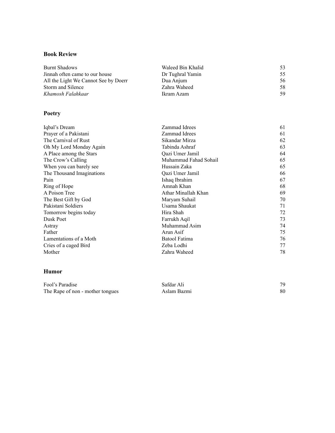### **Book Review**

| <b>Burnt Shadows</b>                 | Waleed Bin Khalid | 53 |
|--------------------------------------|-------------------|----|
| Jinnah often came to our house       | Dr Tughral Yamin  | 55 |
| All the Light We Cannot See by Doerr | Dua Anjum         | 56 |
| Storm and Silence                    | Zahra Waheed      | 58 |
| Khamosh Falahkaar                    | Ikram Azam        | 59 |

# **Poetry**

| Igbal's Dream             | Zammad Idrees         | 61 |
|---------------------------|-----------------------|----|
| Prayer of a Pakistani     | Zammad Idrees         | 61 |
| The Carnival of Rust      | Sikandar Mirza        | 62 |
| Oh My Lord Monday Again   | Tabinda Ashraf        | 63 |
| A Place among the Stars   | Qazi Umer Jamil       | 64 |
| The Crow's Calling        | Muhammad Fahad Sohail | 65 |
| When you can barely see   | Hussain Zaka          | 65 |
| The Thousand Imaginations | Qazi Umer Jamil       | 66 |
| Pain                      | Ishaq Ibrahim         | 67 |
| Ring of Hope              | Amnah Khan            | 68 |
| A Poison Tree             | Athar Minallah Khan   | 69 |
| The Best Gift by God      | Maryam Suhail         | 70 |
| Pakistani Soldiers        | Usama Shaukat         | 71 |
| Tomorrow begins today     | Hira Shah             | 72 |
| Dusk Poet                 | Farrukh Aqil          | 73 |
| Astray                    | Muhammad Asim         | 74 |
| Father                    | Arun Asif             | 75 |
| Lamentations of a Moth    | Batool Fatima         | 76 |
| Cries of a caged Bird     | Zeba Lodhi            | 77 |
| Mother                    | Zahra Waheed          | 78 |
|                           |                       |    |

# **Humor**

| Fool's Paradise                  | Safdar Ali  | 79 |
|----------------------------------|-------------|----|
| The Rape of non - mother tongues | Aslam Bazmi | 80 |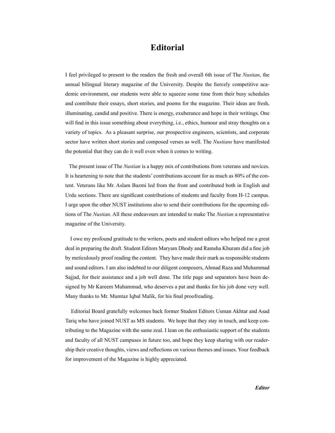# **Editorial**

I feel privileged to present to the readers the fresh and overall 6th issue of The *Nustian*, the annual bilingual literary magazine of the University. Despite the fiercely competitive academic environment, our students were able to squeeze some time from their busy schedules and contribute their essays, short stories, and poems for the magazine. Their ideas are fresh, illuminating, candid and positive. There is energy, exuberance and hope in their writings. One will find in this issue something about everything, i.e., ethics, humour and stray thoughts on a variety of topics. As a pleasant surprise, our prospective engineers, scientists, and corporate sector have written short stories and composed verses as well. The *Nustians* have manifested the potential that they can do it well even when it comes to writing.

 The present issue of The *Nustian* is a happy mix of contributions from veterans and novices. It is heartening to note that the students' contributions account for as much as 80% of the content. Veterans like Mr. Aslam Bazmi led from the front and contributed both in English and Urdu sections. There are significant contributions of students and faculty from H-12 campus. I urge upon the other NUST institutions also to send their contributions for the upcoming editions of The *Nustian*. All these endeavours are intended to make The *Nustian* a representative magazine of the University.

 I owe my profound gratitude to the writers, poets and student editors who helped me a great deal in preparing the draft. Student Editors Maryam Dhody and Ramsha Khuram did a fine job by meticulously proof reading the content. They have made their mark as responsible students and sound editors. I am also indebted to our diligent composers, Ahmad Raza and Muhammad Sajjad, for their assistance and a job well done. The title page and separators have been designed by Mr Kareem Muhammad, who deserves a pat and thanks for his job done very well. Many thanks to Mr. Mumtaz Iqbal Malik, for his final proofreading.

 Editorial Board gratefully welcomes back former Student Editors Usman Akhtar and Asad Tariq who have joined NUST as MS students. We hope that they stay in touch, and keep contributing to the Magazine with the same zeal. I lean on the enthusiastic support of the students and faculty of all NUST campuses in future too, and hope they keep sharing with our readership their creative thoughts, views and reflections on various themes and issues. Your feedback for improvement of the Magazine is highly appreciated.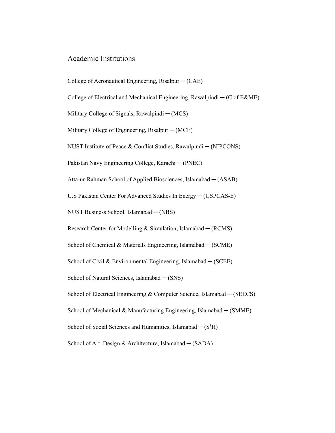# Academic Institutions

College of Aeronautical Engineering, Risalpur  $-$  (CAE)

College of Electrical and Mechanical Engineering, Rawalpindi  $-$  (C of E&ME)

Military College of Signals, Rawalpindi  $-$  (MCS)

Military College of Engineering,  $Risalpur - (MCE)$ 

NUST Institute of Peace & Conflict Studies, Rawalpindi ─ (NIPCONS)

Pakistan Navy Engineering College, Karachi ─ (PNEC)

Atta-ur-Rahman School of Applied Biosciences, Islamabad ─ (ASAB)

U.S Pakistan Center For Advanced Studies In Energy ─ (USPCAS-E)

NUST Business School, Islamabad ─ (NBS)

Research Center for Modelling & Simulation, Islamabad ─ (RCMS)

School of Chemical & Materials Engineering, Islamabad – (SCME)

School of Civil & Environmental Engineering, Islamabad  $-$  (SCEE)

School of Natural Sciences, Islamabad ─ (SNS)

School of Electrical Engineering & Computer Science, Islamabad − (SEECS)

School of Mechanical  $&$  Manufacturing Engineering, Islamabad  $-$  (SMME)

School of Social Sciences and Humanities, Islamabad  $-$  (S<sup>3</sup>H)

School of Art, Design & Architecture, Islamabad ─ (SADA)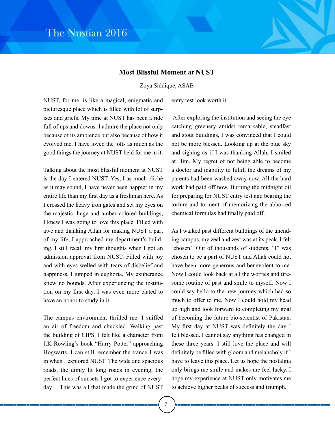

### **Most Blissful Moment at NUST**

Zoya Siddique, ASAB

NUST, for me, is like a magical, enigmatic and picturesque place which is filled with lot of surpises and griefs. My time at NUST has been a ride full of ups and downs. I admire the place not only because of its ambience but also because of how it evolved me. I have loved the jolts as much as the good things the journey at NUST held for me in it.

Talking about the most blissful moment at NUST is the day I entered NUST. Yes, I as much cliché as it may sound, I have never been happier in my entire life than my first day as a freshman here. As I crossed the heavy iron gates and set my eyes on the majestic, huge and amber colored buildings, I knew I was going to love this place. Filled with awe and thanking Allah for making NUST a part of my life, I approached my department's building. I still recall my first thoughts when I got an admission approval from NUST. Filled with joy and with eyes welled with tears of disbelief and happiness, I jumped in euphoria. My exuberance knew no bounds. After experiencing the institution on my first day, I was even more elated to have an honor to study in it.

The campus environment thrilled me. I sniffed an air of freedom and chuckled. Walking past the building of CIPS, I felt like a character from J.K Rowling's book "Harry Potter" approaching Hogwarts. I can still remember the trance I was in when I explored NUST. The wide and spacious roads, the dimly lit long roads in evening, the perfect hues of sunsets I got to experience everyday… This was all that made the grind of NUST entry test look worth it.

 After exploring the institution and seeing the eye catching greenery amidst remarkable, steadfast and stout buildings, I was convinced that I could not be more blessed. Looking up at the blue sky and sighing as if I was thanking Allah, I smiled at Him. My regret of not being able to become a doctor and inability to fulfill the dreams of my parents had been washed away now. All the hard work had paid off now. Burning the midnight oil for preparing for NUST entry test and bearing the torture and torment of memorizing the abhorred chemical formulas had finally paid off.

As I walked past different buildings of the unending campus, my zeal and zest was at its peak. I felt 'chosen'. Out of thousands of students, "I" was chosen to be a part of NUST and Allah could not have been more generous and benevolent to me. Now I could look back at all the worries and tiresome routine of past and smile to myself. Now I could say hello to the new journey which had so much to offer to me. Now I could hold my head up high and look forward to completing my goal of becoming the future bio-scientist of Pakistan. My first day at NUST was definitely the day I felt blessed. I cannot say anything has changed in these three years. I still love the place and will definitely be filled with gloom and melancholy if I have to leave this place. Let us hope the nostalgia only brings me smile and makes me feel lucky. I hope my experience at NUST only motivates me to achieve higher peaks of success and triumph.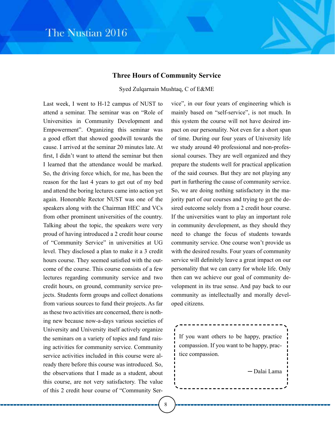

# **Three Hours of Community Service**

Syed Zulqarnain Mushtaq, C of E&ME

Last week, I went to H-12 campus of NUST to attend a seminar. The seminar was on "Role of Universities in Community Development and Empowerment". Organizing this seminar was a good effort that showed goodwill towards the cause. I arrived at the seminar 20 minutes late. At first, I didn't want to attend the seminar but then I learned that the attendance would be marked. So, the driving force which, for me, has been the reason for the last 4 years to get out of my bed and attend the boring lectures came into action yet again. Honorable Rector NUST was one of the speakers along with the Chairman HEC and VCs from other prominent universities of the country. Talking about the topic, the speakers were very proud of having introduced a 2 credit hour course of "Community Service" in universities at UG level. They disclosed a plan to make it a 3 credit hours course. They seemed satisfied with the outcome of the course. This course consists of a few lectures regarding community service and two credit hours, on ground, community service projects. Students form groups and collect donations from various sources to fund their projects. As far as these two activities are concerned, there is nothing new because now-a-days various societies of University and University itself actively organize the seminars on a variety of topics and fund raising activities for community service. Community service activities included in this course were already there before this course was introduced. So, the observations that I made as a student, about this course, are not very satisfactory. The value of this 2 credit hour course of "Community Service", in our four years of engineering which is mainly based on "self-service", is not much. In this system the course will not have desired impact on our personality. Not even for a short span of time. During our four years of University life we study around 40 professional and non-professional courses. They are well organized and they prepare the students well for practical application of the said courses. But they are not playing any part in furthering the cause of community service. So, we are doing nothing satisfactory in the majority part of our courses and trying to get the desired outcome solely from a 2 credit hour course. If the universities want to play an important role in community development, as they should they need to change the focus of students towards community service. One course won't provide us with the desired results. Four years of community service will definitely leave a great impact on our personality that we can carry for whole life. Only then can we achieve our goal of community development in its true sense. And pay back to our community as intellectually and morally developed citizens.

If you want others to be happy, practice compassion. If you want to be happy, practice compassion.

─ Dalai Lama

`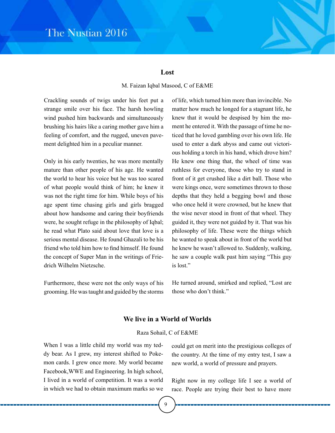### **Lost**

#### M. Faizan Iqbal Masood, C of E&ME

Crackling sounds of twigs under his feet put a strange smile over his face. The harsh howling wind pushed him backwards and simultaneously brushing his hairs like a caring mother gave him a feeling of comfort, and the rugged, uneven pavement delighted him in a peculiar manner.

Only in his early twenties, he was more mentally mature than other people of his age. He wanted the world to hear his voice but he was too scared of what people would think of him; he knew it was not the right time for him. While boys of his age spent time chasing girls and girls bragged about how handsome and caring their boyfriends were, he sought refuge in the philosophy of Iqbal; he read what Plato said about love that love is a serious mental disease. He found Ghazali to be his friend who told him how to find himself. He found the concept of Super Man in the writings of Friedrich Wilhelm Nietzsche.

Furthermore, these were not the only ways of his grooming. He was taught and guided by the storms of life, which turned him more than invincible. No matter how much he longed for a stagnant life, he knew that it would be despised by him the moment he entered it. With the passage of time he noticed that he loved gambling over his own life. He used to enter a dark abyss and came out victorious holding a torch in his hand, which drove him? He knew one thing that, the wheel of time was ruthless for everyone, those who try to stand in front of it get crushed like a dirt ball. Those who were kings once, were sometimes thrown to those depths that they held a begging bowl and those who once held it were crowned, but he knew that the wise never stood in front of that wheel. They guided it, they were not guided by it. That was his philosophy of life. These were the things which he wanted to speak about in front of the world but he knew he wasn't allowed to. Suddenly, walking, he saw a couple walk past him saying "This guy is lost."

He turned around, smirked and replied, "Lost are those who don't think."

### **We live in a World of Worlds**

#### Raza Sohail, C of E&ME

When I was a little child my world was my teddy bear. As I grew, my interest shifted to Pokemon cards. I grew once more. My world became Facebook,WWE and Engineering. In high school, I lived in a world of competition. It was a world in which we had to obtain maximum marks so we could get on merit into the prestigious colleges of the country. At the time of my entry test, I saw a new world, a world of pressure and prayers.

Right now in my college life I see a world of race. People are trying their best to have more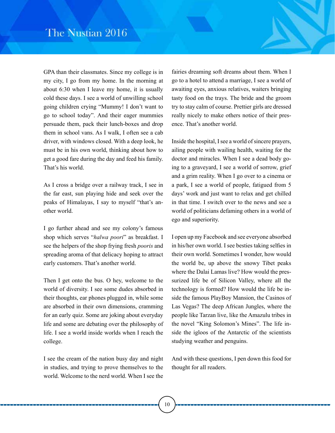GPA than their classmates. Since my college is in my city, I go from my home. In the morning at about 6:30 when I leave my home, it is usually cold these days. I see a world of unwilling school going children crying "Mummy! I don't want to go to school today". And their eager mummies persuade them, pack their lunch-boxes and drop them in school vans. As I walk, I often see a cab driver, with windows closed. With a deep look, he must be in his own world, thinking about how to get a good fare during the day and feed his family. That's his world.

As I cross a bridge over a railway track, I see in the far east, sun playing hide and seek over the peaks of Himalayas, I say to myself "that's another world.

I go further ahead and see my colony's famous shop which serves "*halwa poori*" as breakfast. I see the helpers of the shop frying fresh *pooris* and spreading aroma of that delicacy hoping to attract early customers. That's another world.

Then I get onto the bus. O hey, welcome to the world of diversity. I see some dudes absorbed in their thoughts, ear phones plugged in, while some are absorbed in their own dimensions, cramming for an early quiz. Some are joking about everyday life and some are debating over the philosophy of life. I see a world inside worlds when I reach the college.

I see the cream of the nation busy day and night in studies, and trying to prove themselves to the world. Welcome to the nerd world. When I see the

fairies dreaming soft dreams about them. When I go to a hotel to attend a marriage, I see a world of awaiting eyes, anxious relatives, waiters bringing tasty food on the trays. The bride and the groom try to stay calm of course. Prettier girls are dressed really nicely to make others notice of their presence. That's another world.

Inside the hospital, I see a world of sincere prayers, ailing people with wailing health, waiting for the doctor and miracles. When I see a dead body going to a graveyard, I see a world of sorrow, grief and a grim reality. When I go over to a cinema or a park, I see a world of people, fatigued from 5 days' work and just want to relax and get chilled in that time. I switch over to the news and see a world of politicians defaming others in a world of ego and superiority.

I open up my Facebook and see everyone absorbed in his/her own world. I see besties taking selfies in their own world. Sometimes I wonder, how would the world be, up above the snowy Tibet peaks where the Dalai Lamas live? How would the pressurized life be of Silicon Valley, where all the technology is formed? How would the life be inside the famous PlayBoy Mansion, the Casinos of Las Vegas? The deep African Jungles, where the people like Tarzan live, like the Amazulu tribes in the novel "King Solomon's Mines". The life inside the igloos of the Antarctic of the scientists studying weather and penguins.

And with these questions, I pen down this food for thought for all readers.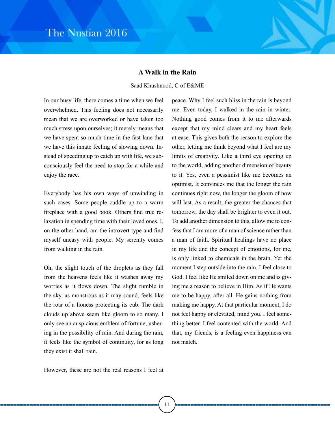### **A Walk in the Rain**

#### Saad Khushnood, C of E&ME

11

In our busy life, there comes a time when we feel overwhelmed. This feeling does not necessarily mean that we are overworked or have taken too much stress upon ourselves; it merely means that we have spent so much time in the fast lane that we have this innate feeling of slowing down. Instead of speeding up to catch up with life, we subconsciously feel the need to stop for a while and enjoy the race.

Everybody has his own ways of unwinding in such cases. Some people cuddle up to a warm fireplace with a good book. Others find true relaxation in spending time with their loved ones. I, on the other hand, am the introvert type and find myself uneasy with people. My serenity comes from walking in the rain.

Oh, the slight touch of the droplets as they fall from the heavens feels like it washes away my worries as it flows down. The slight rumble in the sky, as monstrous as it may sound, feels like the roar of a lioness protecting its cub. The dark clouds up above seem like gloom to so many. I only see an auspicious emblem of fortune, ushering in the possibility of rain. And during the rain, it feels like the symbol of continuity, for as long they exist it shall rain.

peace. Why I feel such bliss in the rain is beyond me. Even today, I walked in the rain in winter. Nothing good comes from it to me afterwards except that my mind clears and my heart feels at ease. This gives both the reason to explore the other, letting me think beyond what I feel are my limits of creativity. Like a third eye opening up to the world, adding another dimension of beauty to it. Yes, even a pessimist like me becomes an optimist. It convinces me that the longer the rain continues right now, the longer the gloom of now will last. As a result, the greater the chances that tomorrow, the day shall be brighter to even it out. To add another dimension to this, allow me to confess that I am more of a man of science rather than a man of faith. Spiritual healings have no place in my life and the concept of emotions, for me, is only linked to chemicals in the brain. Yet the moment I step outside into the rain, I feel close to God. I feel like He smiled down on me and is giving me a reason to believe in Him. As if He wants me to be happy, after all. He gains nothing from making me happy. At that particular moment, I do not feel happy or elevated, mind you. I feel something better. I feel contented with the world. And that, my friends, is a feeling even happiness can not match.

However, these are not the real reasons I feel at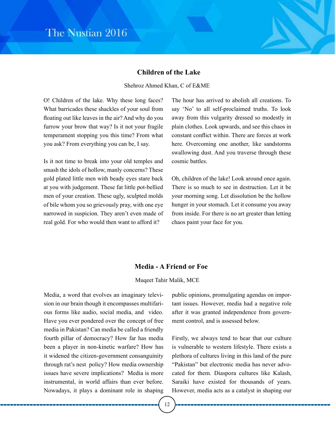

#### Shehroz Ahmed Khan, C of E&ME

O! Children of the lake. Why these long faces? What barricades these shackles of your soul from floating out like leaves in the air? And why do you furrow your brow that way? Is it not your fragile temperament stopping you this time? From what you ask? From everything you can be, I say.

Is it not time to break into your old temples and smash the idols of hollow, manly concerns? These gold plated little men with beady eyes stare back at you with judgement. These fat little pot-bellied men of your creation. These ugly, sculpted molds of bile whom you so grievously pray, with one eye narrowed in suspicion. They aren't even made of real gold. For who would then want to afford it?

The hour has arrived to abolish all creations. To say 'No' to all self-proclaimed truths. To look away from this vulgarity dressed so modestly in plain clothes. Look upwards, and see this chaos in constant conflict within. There are forces at work here. Overcoming one another, like sandstorms swallowing dust. And you traverse through these cosmic battles.

Oh, children of the lake! Look around once again. There is so much to see in destruction. Let it be your morning song. Let dissolution be the hollow hunger in your stomach. Let it consume you away from inside. For there is no art greater than letting chaos paint your face for you.

### **Media - A Friend or Foe**

#### Muqeet Tahir Malik, MCE

Media, a word that evolves an imaginary television in our brain though it encompasses multifarious forms like audio, social media, and video. Have you ever pondered over the concept of free media in Pakistan? Can media be called a friendly fourth pillar of democracy? How far has media been a player in non-kinetic warfare? How has it widened the citizen-government consanguinity through rat's nest policy? How media ownership issues have severe implications? Media is more instrumental, in world affairs than ever before. Nowadays, it plays a dominant role in shaping public opinions, promulgating agendas on important issues. However, media had a negative role after it was granted independence from government control, and is assessed below.

Firstly, we always tend to hear that our culture is vulnerable to western lifestyle. There exists a plethora of cultures living in this land of the pure "Pakistan" but electronic media has never advocated for them. Diaspora cultures like Kalash, Saraiki have existed for thousands of years. However, media acts as a catalyst in shaping our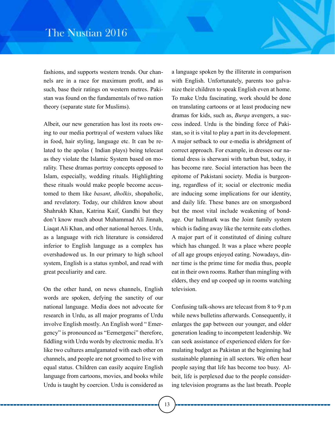fashions, and supports western trends. Our channels are in a race for maximum profit, and as such, base their ratings on western metres. Pakistan was found on the fundamentals of two nation theory (separate state for Muslims).

Albeit, our new generation has lost its roots owing to our media portrayal of western values like in food, hair styling, language etc. It can be related to the apolas ( Indian plays) being telecast as they violate the Islamic System based on morality. These dramas portray concepts opposed to Islam, especially, wedding rituals. Highlighting these rituals would make people become accustomed to them like *basant*, *dholkis*, shopaholic, and revelatory. Today, our children know about Shahrukh Khan, Katrina Kaif, Gandhi but they don't know much about Muhammad Ali Jinnah, Liaqat Ali Khan, and other national heroes. Urdu, as a language with rich literature is considered inferior to English language as a complex has overshadowed us. In our primary to high school system, English is a status symbol, and read with great peculiarity and care.

On the other hand, on news channels, English words are spoken, defying the sanctity of our national language. Media does not advocate for research in Urdu, as all major programs of Urdu involve English mostly. An English word " Emergency" is pronounced as "Eemergenci" therefore, fiddling with Urdu words by electronic media. It's like two cultures amalgamated with each other on channels, and people are not groomed to live with equal status. Children can easily acquire English language from cartoons, movies, and books while Urdu is taught by coercion. Urdu is considered as

a language spoken by the illiterate in comparison with English. Unfortunately, parents too galvanize their children to speak English even at home. To make Urdu fascinating, work should be done on translating cartoons or at least producing new dramas for kids, such as, *Burqa* avengers, a success indeed. Urdu is the binding force of Pakistan, so it is vital to play a part in its development. A major setback to our e-media is abridgment of correct approach. For example, in dresses our national dress is sherwani with turban but, today, it has become rare. Social interaction has been the epitome of Pakistani society. Media is burgeoning, regardless of it; social or electronic media are inducing some implications for our identity, and daily life. These banes are on smorgasbord but the most vital include weakening of bondage. Our hallmark was the Joint family system which is fading away like the termite eats clothes. A major part of it constituted of dining culture which has changed. It was a place where people of all age groups enjoyed eating. Nowadays, dinner time is the prime time for media thus, people eat in their own rooms. Rather than mingling with elders, they end up cooped up in rooms watching television.

Confusing talk-shows are telecast from 8 to 9 p.m while news bulletins afterwards. Consequently, it enlarges the gap between our younger, and older generation leading to incompetent leadership. We can seek assistance of experienced elders for formulating budget as Pakistan at the beginning had sustainable planning in all sectors. We often hear people saying that life has become too busy. Albeit, life is perplexed due to the people considering television programs as the last breath. People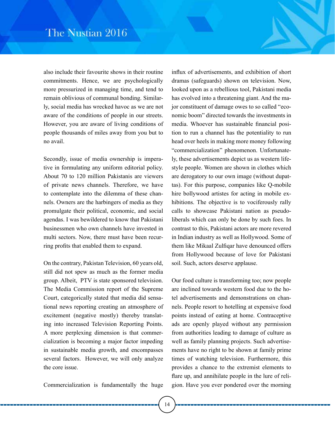also include their favourite shows in their routine commitments. Hence, we are psychologically more pressurized in managing time, and tend to remain oblivious of communal bonding. Similarly, social media has wrecked havoc as we are not aware of the conditions of people in our streets. However, you are aware of living conditions of people thousands of miles away from you but to no avail.

Secondly, issue of media ownership is imperative in formulating any uniform editorial policy. About 70 to 120 million Pakistanis are viewers of private news channels. Therefore, we have to contemplate into the dilemma of these channels. Owners are the harbingers of media as they promulgate their political, economic, and social agendas. I was bewildered to know that Pakistani businessmen who own channels have invested in multi sectors. Now, there must have been recurring profits that enabled them to expand.

On the contrary, Pakistan Television, 60 years old, still did not spew as much as the former media group. Albeit, PTV is state sponsored television. The Media Commission report of the Supreme Court, categorically stated that media did sensational news reporting creating an atmosphere of excitement (negative mostly) thereby translating into increased Television Reporting Points. A more perplexing dimension is that commercialization is becoming a major factor impeding in sustainable media growth, and encompasses several factors. However, we will only analyze the core issue.

Commercialization is fundamentally the huge

influx of advertisements, and exhibition of short dramas (safeguards) shown on television. Now, looked upon as a rebellious tool, Pakistani media has evolved into a threatening giant. And the major constituent of damage owes to so called "economic boom" directed towards the investments in media. Whoever has sustainable financial position to run a channel has the potentiality to run head over heels in making more money following "commercialization" phenomenon. Unfortunately, these advertisements depict us as western lifestyle people. Women are shown in clothes which are derogatory to our own image (without dupattas). For this purpose, companies like Q-mobile hire bollywood artistes for acting in mobile exhibitions. The objective is to vociferously rally calls to showcase Pakistani nation as pseudoliberals which can only be done by such foes. In contrast to this, Pakistani actors are more revered in Indian industry as well as Hollywood. Some of them like Mikaal Zulfiqar have denounced offers from Hollywood because of love for Pakistani soil. Such, actors deserve applause.

Our food culture is transforming too; now people are inclined towards western food due to the hotel advertisements and demonstrations on channels. People resort to hotelling at expensive food points instead of eating at home. Contraceptive ads are openly played without any permission from authorities leading to damage of culture as well as family planning projects. Such advertisements have no right to be shown at family prime times of watching television. Furthermore, this provides a chance to the extremist elements to flare up, and annihilate people in the lure of religion. Have you ever pondered over the morning

14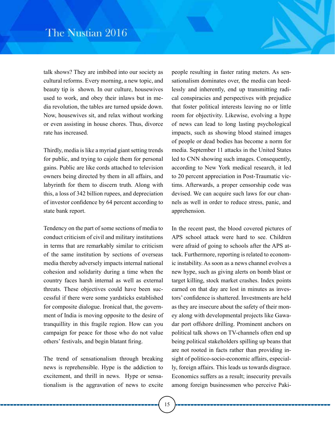talk shows? They are imbibed into our society as cultural reforms. Every morning, a new topic, and beauty tip is shown. In our culture, housewives used to work, and obey their inlaws but in media revolution, the tables are turned upside down. Now, housewives sit, and relax without working or even assisting in house chores. Thus, divorce rate has increased.

Thirdly, media is like a myriad giant setting trends for public, and trying to cajole them for personal gains. Public are like cords attached to television owners being directed by them in all affairs, and labyrinth for them to discern truth. Along with this, a loss of 342 billion rupees, and depreciation of investor confidence by 64 percent according to state bank report.

Tendency on the part of some sections of media to conduct criticism of civil and military institutions in terms that are remarkably similar to criticism of the same institution by sections of overseas media thereby adversely impacts internal national cohesion and solidarity during a time when the country faces harsh internal as well as external threats. These objectives could have been successful if there were some yardsticks established for composite dialogue. Ironical that, the government of India is moving opposite to the desire of tranquillity in this fragile region. How can you campaign for peace for those who do not value others' festivals, and begin blatant firing.

The trend of sensationalism through breaking news is reprehensible. Hype is the addiction to excitement, and thrill in news. Hype or sensationalism is the aggravation of news to excite

people resulting in faster rating meters. As sensationalism dominates over, the media can heedlessly and inherently, end up transmitting radical conspiracies and perspectives with prejudice that foster political interests leaving no or little room for objectivity. Likewise, evolving a hype of news can lead to long lasting psychological impacts, such as showing blood stained images of people or dead bodies has become a norm for media. September 11 attacks in the United States led to CNN showing such images. Consequently, according to New York medical research, it led to 20 percent appreciation in Post-Traumatic victims. Afterwards, a proper censorship code was devised. We can acquire such laws for our channels as well in order to reduce stress, panic, and apprehension.

In the recent past, the blood covered pictures of APS school attack were hard to see. Children were afraid of going to schools after the APS attack. Furthermore, reporting is related to economic instability. As soon as a news channel evolves a new hype, such as giving alerts on bomb blast or target killing, stock market crashes. Index points earned on that day are lost in minutes as investors' confidence is shattered. Investments are held as they are insecure about the safety of their money along with developmental projects like Gawadar port offshore drilling. Prominent anchors on political talk shows on TV-channels often end up being political stakeholders spilling up beans that are not rooted in facts rather than providing insight of politico-socio-economic affairs, especially, foreign affairs. This leads us towards disgrace. Economics suffers as a result; insecurity prevails among foreign businessmen who perceive Paki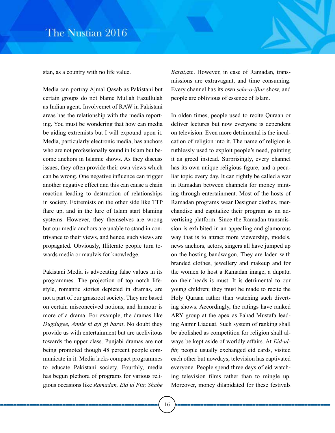stan, as a country with no life value.

Media can portray Ajmal Qasab as Pakistani but certain groups do not blame Mullah Fazullulah as Indian agent. Involvemet of RAW in Pakistani areas has the relationship with the media reporting. You must be wondering that how can media be aiding extremists but I will expound upon it. Media, particularly electronic media, has anchors who are not professionally sound in Islam but become anchors in Islamic shows. As they discuss issues, they often provide their own views which can be wrong. One negative influence can trigger another negative effect and this can cause a chain reaction leading to destruction of relationships in society. Extremists on the other side like TTP flare up, and in the lure of Islam start blaming systems. However, they themselves are wrong but our media anchors are unable to stand in contrivance to their views, and hence, such views are propagated. Obviously, Illiterate people turn towards media or maulvis for knowledge.

Pakistani Media is advocating false values in its programmes. The projection of top notch lifestyle, romantic stories depicted in dramas, are not a part of our grassroot society. They are based on certain misconceived notions, and humour is more of a drama. For example, the dramas like *Dugdugee*, *Annie ki ayi gi barat*. No doubt they provide us with entertainment but are acclivitous towards the upper class. Punjabi dramas are not being promoted though 48 percent people communicate in it. Media lacks compact programmes to educate Pakistani society. Fourthly, media has begun plethora of programs for various religious occasions like *Ramadan, Eid ul Fitr, Shabe* 

*Barat,*etc. However, in case of Ramadan, transmissions are extravagant, and time consuming. Every channel has its own *sehr-o-iftar* show, and people are oblivious of essence of Islam.

In olden times, people used to recite Quraan or deliver lectures but now everyone is dependent on television. Even more detrimental is the inculcation of religion into it. The name of religion is ruthlessly used to exploit people's need, painting it as greed instead. Surprisingly, every channel has its own unique religious figure, and a peculiar topic every day. It can rightly be called a war in Ramadan between channels for money minting through entertainment. Most of the hosts of Ramadan programs wear Designer clothes, merchandise and capitalize their program as an advertising platform. Since the Ramadan transmission is exhibited in an appealing and glamorous way that is to attract more viewership, models, news anchors, actors, singers all have jumped up on the hosting bandwagon. They are laden with branded clothes, jewellery and makeup and for the women to host a Ramadan image, a dupatta on their heads is must. It is detrimental to our young children; they must be made to recite the Holy Quraan rather than watching such diverting shows. Accordingly, the ratings have ranked ARY group at the apex as Fahad Mustafa leading Aamir Liaquat. Such system of ranking shall be abolished as competition for religion shall always be kept aside of worldly affairs. At *Eid-ulfitr,* people usually exchanged eid cards, visited each other but nowdays, television has captivated everyone. People spend three days of eid watching television films rather than to mingle up. Moreover, money dilapidated for these festivals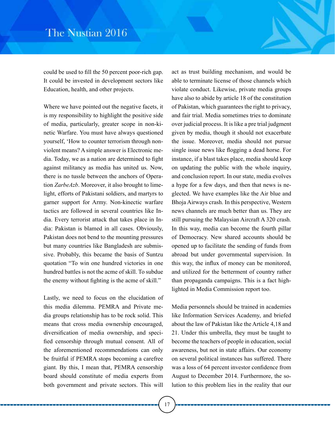could be used to fill the 50 percent poor-rich gap. It could be invested in development sectors like Education, health, and other projects.

Where we have pointed out the negative facets, it is my responsibility to highlight the positive side of media, particularly, greater scope in non-kinetic Warfare. You must have always questioned yourself, 'How to counter terrorism through nonviolent means? A simple answer is Electronic media. Today, we as a nation are determined to fight against militancy as media has united us. Now, there is no tussle between the anchors of Operation *ZarbeAzb*. Moreover, it also brought to limelight, efforts of Pakistani soldiers, and martyrs to garner support for Army. Non-kinectic warfare tactics are followed in several countries like India. Every terrorist attack that takes place in India: Pakistan is blamed in all cases. Obviously, Pakistan does not bend to the mounting pressures but many countries like Bangladesh are submissive. Probably, this became the basis of Suntzu quotation "To win one hundred victories in one hundred battles is not the acme of skill. To subdue the enemy without fighting is the acme of skill."

Lastly, we need to focus on the elucidation of this media dilemma. PEMRA and Private media groups relationship has to be rock solid. This means that cross media ownership encouraged, diversification of media ownership, and specified censorship through mutual consent. All of the aforementioned recommendations can only be fruitful if PEMRA stops becoming a carefree giant. By this, I mean that, PEMRA censorship board should constitute of media experts from both government and private sectors. This will

act as trust building mechanism, and would be able to terminate license of those channels which violate conduct. Likewise, private media groups have also to abide by article 18 of the constitution of Pakistan, which guarantees the right to privacy, and fair trial. Media sometimes tries to dominate over judicial process. It is like a pre trial judgment given by media, though it should not exacerbate the issue. Moreover, media should not pursue single issue news like flogging a dead horse. For instance, if a blast takes place, media should keep on updating the public with the whole inquiry, and conclusion report. In our state, media evolves a hype for a few days, and then that news is neglected. We have examples like the Air blue and Bhoja Airways crash. In this perspective, Western news channels are much better than us. They are still pursuing the Malaysian Aircraft A 320 crash. In this way, media can become the fourth pillar of Democracy. New shared accounts should be opened up to facilitate the sending of funds from abroad but under governmental supervision. In this way, the influx of money can be monitored, and utilized for the betterment of country rather than propaganda campaigns. This is a fact highlighted in Media Commission report too.

Media personnels should be trained in academies like Information Services Academy, and briefed about the law of Pakistan like the Article 4,18 and 21. Under this umbrella, they must be taught to become the teachers of people in education, social awareness, but not in state affairs. Our economy on several political instances has suffered. There was a loss of 64 percent investor confidence from August to December 2014. Furthermore, the solution to this problem lies in the reality that our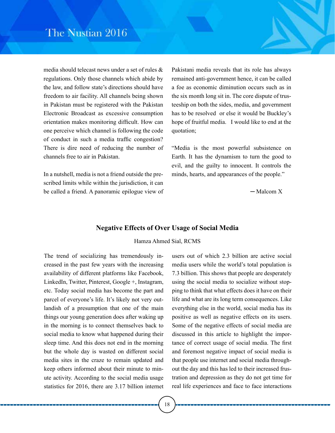media should telecast news under a set of rules & regulations. Only those channels which abide by the law, and follow state's directions should have freedom to air facility. All channels being shown in Pakistan must be registered with the Pakistan Electronic Broadcast as excessive consumption orientation makes monitoring difficult. How can one perceive which channel is following the code of conduct in such a media traffic congestion? There is dire need of reducing the number of channels free to air in Pakistan.

In a nutshell, media is not a friend outside the prescribed limits while within the jurisdiction, it can be called a friend. A panoramic epilogue view of

Pakistani media reveals that its role has always remained anti-government hence, it can be called a foe as economic diminution occurs such as in the six month long sit in. The core dispute of trusteeship on both the sides, media, and government has to be resolved or else it would be Buckley's hope of fruitful media. I would like to end at the quotation;

"Media is the most powerful subsistence on Earth. It has the dynamism to turn the good to evil, and the guilty to innocent. It controls the minds, hearts, and appearances of the people."

─ Malcom X

### **Negative Effects of Over Usage of Social Media**

Hamza Ahmed Sial, RCMS

The trend of socializing has tremendously increased in the past few years with the increasing availability of different platforms like Facebook, LinkedIn, Twitter, Pinterest, Google +, Instagram, etc. Today social media has become the part and parcel of everyone's life. It's likely not very outlandish of a presumption that one of the main things our young generation does after waking up in the morning is to connect themselves back to social media to know what happened during their sleep time. And this does not end in the morning but the whole day is wasted on different social media sites in the craze to remain updated and keep others informed about their minute to minute activity. According to the social media usage statistics for 2016, there are 3.17 billion internet

users out of which 2.3 billion are active social media users while the world's total population is 7.3 billion. This shows that people are desperately using the social media to socialize without stopping to think that what effects does it have on their life and what are its long term consequences. Like everything else in the world, social media has its positive as well as negative effects on its users. Some of the negative effects of social media are discussed in this article to highlight the importance of correct usage of social media. The first and foremost negative impact of social media is that people use internet and social media throughout the day and this has led to their increased frustration and depression as they do not get time for real life experiences and face to face interactions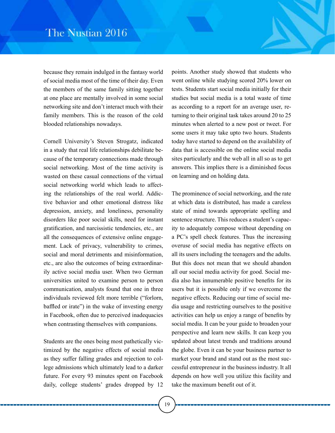because they remain indulged in the fantasy world of social media most of the time of their day. Even the members of the same family sitting together at one place are mentally involved in some social networking site and don't interact much with their family members. This is the reason of the cold blooded relationships nowadays.

Cornell University's Steven Strogatz, indicated in a study that real life relationships debilitate because of the temporary connections made through social networking. Most of the time activity is wasted on these casual connections of the virtual social networking world which leads to affecting the relationships of the real world. Addictive behavior and other emotional distress like depression, anxiety, and loneliness, personality disorders like poor social skills, need for instant gratification, and narcissistic tendencies, etc., are all the consequences of extensive online engagement. Lack of privacy, vulnerability to crimes, social and moral detriments and misinformation, etc., are also the outcomes of being extraordinarily active social media user. When two German universities united to examine person to person communication, analysts found that one in three individuals reviewed felt more terrible ("forlorn, baffled or irate") in the wake of investing energy in Facebook, often due to perceived inadequacies when contrasting themselves with companions.

Students are the ones being most pathetically victimized by the negative effects of social media as they suffer falling grades and rejection to college admissions which ultimately lead to a darker future. For every 93 minutes spent on Facebook daily, college students' grades dropped by 12 points. Another study showed that students who went online while studying scored 20% lower on tests. Students start social media initially for their studies but social media is a total waste of time as according to a report for an average user, returning to their original task takes around 20 to 25 minutes when alerted to a new post or tweet. For some users it may take upto two hours. Students today have started to depend on the availability of data that is accessible on the online social media sites particularly and the web all in all so as to get answers. This implies there is a diminished focus on learning and on holding data.

The prominence of social networking, and the rate at which data is distributed, has made a careless state of mind towards appropriate spelling and sentence structure. This reduces a student's capacity to adequately compose without depending on a PC's spell check features. Thus the increasing overuse of social media has negative effects on all its users including the teenagers and the adults. But this does not mean that we should abandon all our social media activity for good. Social media also has innumerable positive benefits for its users but it is possible only if we overcome the negative effects. Reducing our time of social media usage and restricting ourselves to the positive activities can help us enjoy a range of benefits by social media. It can be your guide to broaden your perspective and learn new skills. It can keep you updated about latest trends and traditions around the globe. Even it can be your business partner to market your brand and stand out as the most successful entrepreneur in the business industry. It all depends on how well you utilize this facility and take the maximum benefit out of it.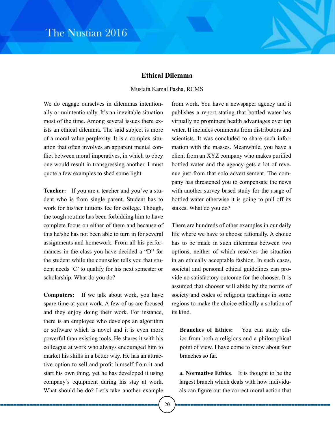

### **Ethical Dilemma**

Mustafa Kamal Pasha, RCMS

We do engage ourselves in dilemmas intentionally or unintentionally. It's an inevitable situation most of the time. Among several issues there exists an ethical dilemma. The said subject is more of a moral value perplexity. It is a complex situation that often involves an apparent mental conflict between moral imperatives, in which to obey one would result in transgressing another. I must quote a few examples to shed some light.

**Teacher:** If you are a teacher and you've a student who is from single parent. Student has to work for his/her tuitions fee for college. Though, the tough routine has been forbidding him to have complete focus on either of them and because of this he/she has not been able to turn in for several assignments and homework. From all his performances in the class you have decided a "D" for the student while the counselor tells you that student needs 'C' to qualify for his next semester or scholarship. What do you do?

**Computers:** If we talk about work, you have spare time at your work. A few of us are focused and they enjoy doing their work. For instance, there is an employee who develops an algorithm or software which is novel and it is even more powerful than existing tools. He shares it with his colleague at work who always encouraged him to market his skills in a better way. He has an attractive option to sell and profit himself from it and start his own thing, yet he has developed it using company's equipment during his stay at work. What should he do? Let's take another example

from work. You have a newspaper agency and it publishes a report stating that bottled water has virtually no prominent health advantages over tap water. It includes comments from distributors and scientists. It was concluded to share such information with the masses. Meanwhile, you have a client from an XYZ company who makes purified bottled water and the agency gets a lot of revenue just from that solo advertisement. The company has threatened you to compensate the news with another survey based study for the usage of bottled water otherwise it is going to pull off its stakes. What do you do?

There are hundreds of other examples in our daily life where we have to choose rationally. A choice has to be made in such dilemmas between two options, neither of which resolves the situation in an ethically acceptable fashion. In such cases, societal and personal ethical guidelines can provide no satisfactory outcome for the chooser. It is assumed that chooser will abide by the norms of society and codes of religious teachings in some regions to make the choice ethically a solution of its kind.

**Branches of Ethics:** You can study ethics from both a religious and a philosophical point of view. I have come to know about four branches so far.

**a. Normative Ethics**. It is thought to be the largest branch which deals with how individuals can figure out the correct moral action that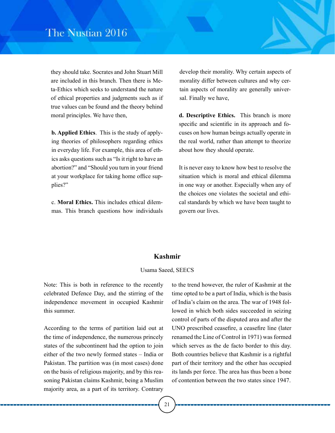they should take. Socrates and John Stuart Mill are included in this branch. Then there is Meta-Ethics which seeks to understand the nature of ethical properties and judgments such as if true values can be found and the theory behind moral principles. We have then,

**b. Applied Ethics**. This is the study of applying theories of philosophers regarding ethics in everyday life. For example, this area of ethics asks questions such as "Is it right to have an abortion?" and "Should you turn in your friend at your workplace for taking home office supplies?"

 c. **Moral Ethics.** This includes ethical dilemmas. This branch questions how individuals

develop their morality. Why certain aspects of morality differ between cultures and why certain aspects of morality are generally universal. Finally we have,

**d. Descriptive Ethics.** This branch is more specific and scientific in its approach and focuses on how human beings actually operate in the real world, rather than attempt to theorize about how they should operate.

 It is never easy to know how best to resolve the situation which is moral and ethical dilemma in one way or another. Especially when any of the choices one violates the societal and ethical standards by which we have been taught to govern our lives.

### **Kashmir**

#### Usama Saeed, SEECS

Note: This is both in reference to the recently celebrated Defence Day, and the stirring of the independence movement in occupied Kashmir this summer.

According to the terms of partition laid out at the time of independence, the numerous princely states of the subcontinent had the option to join either of the two newly formed states – India or Pakistan. The partition was (in most cases) done on the basis of religious majority, and by this reasoning Pakistan claims Kashmir, being a Muslim majority area, as a part of its territory. Contrary

to the trend however, the ruler of Kashmir at the time opted to be a part of India, which is the basis of India's claim on the area. The war of 1948 followed in which both sides succeeded in seizing control of parts of the disputed area and after the UNO prescribed ceasefire, a ceasefire line (later renamed the Line of Control in 1971) was formed which serves as the de facto border to this day. Both countries believe that Kashmir is a rightful part of their territory and the other has occupied its lands per force. The area has thus been a bone of contention between the two states since 1947.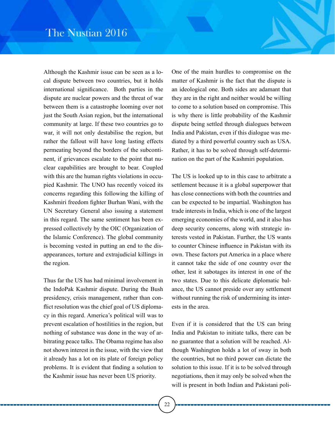Although the Kashmir issue can be seen as a local dispute between two countries, but it holds international significance. Both parties in the dispute are nuclear powers and the threat of war between them is a catastrophe looming over not just the South Asian region, but the international community at large. If these two countries go to war, it will not only destabilise the region, but rather the fallout will have long lasting effects permeating beyond the borders of the subcontinent, if grievances escalate to the point that nuclear capabilities are brought to bear. Coupled with this are the human rights violations in occupied Kashmir. The UNO has recently voiced its concerns regarding this following the killing of Kashmiri freedom fighter Burhan Wani, with the UN Secretary General also issuing a statement in this regard. The same sentiment has been expressed collectively by the OIC (Organization of the Islamic Conference). The global community is becoming vested in putting an end to the disappearances, torture and extrajudicial killings in the region.

Thus far the US has had minimal involvement in the IndoPak Kashmir dispute. During the Bush presidency, crisis management, rather than conflict resolution was the chief goal of US diplomacy in this regard. America's political will was to prevent escalation of hostilities in the region, but nothing of substance was done in the way of arbitrating peace talks. The Obama regime has also not shown interest in the issue, with the view that it already has a lot on its plate of foreign policy problems. It is evident that finding a solution to the Kashmir issue has never been US priority.

One of the main hurdles to compromise on the matter of Kashmir is the fact that the dispute is an ideological one. Both sides are adamant that they are in the right and neither would be willing to come to a solution based on compromise. This is why there is little probability of the Kashmir dispute being settled through dialogues between India and Pakistan, even if this dialogue was mediated by a third powerful country such as USA. Rather, it has to be solved through self-determination on the part of the Kashmiri population.

The US is looked up to in this case to arbitrate a settlement because it is a global superpower that has close connections with both the countries and can be expected to be impartial. Washington has trade interests in India, which is one of the largest emerging economies of the world, and it also has deep security concerns, along with strategic interests vested in Pakistan. Further, the US wants to counter Chinese influence in Pakistan with its own. These factors put America in a place where it cannot take the side of one country over the other, lest it sabotages its interest in one of the two states. Due to this delicate diplomatic balance, the US cannot preside over any settlement without running the risk of undermining its interests in the area.

Even if it is considered that the US can bring India and Pakistan to initiate talks, there can be no guarantee that a solution will be reached. Although Washington holds a lot of sway in both the countries, but no third power can dictate the solution to this issue. If it is to be solved through negotiations, then it may only be solved when the will is present in both Indian and Pakistani poli-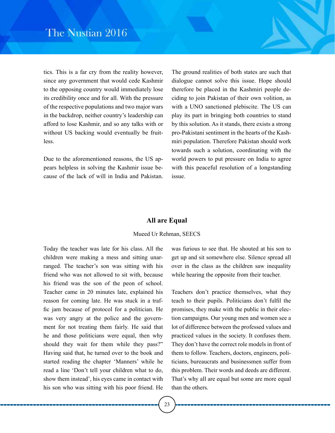tics. This is a far cry from the reality however, since any government that would cede Kashmir to the opposing country would immediately lose its credibility once and for all. With the pressure of the respective populations and two major wars in the backdrop, neither country's leadership can afford to lose Kashmir, and so any talks with or without US backing would eventually be fruitless.

Due to the aforementioned reasons, the US appears helpless in solving the Kashmir issue because of the lack of will in India and Pakistan. The ground realities of both states are such that dialogue cannot solve this issue. Hope should therefore be placed in the Kashmiri people deciding to join Pakistan of their own volition, as with a UNO sanctioned plebiscite. The US can play its part in bringing both countries to stand by this solution. As it stands, there exists a strong pro-Pakistani sentiment in the hearts of the Kashmiri population. Therefore Pakistan should work towards such a solution, coordinating with the world powers to put pressure on India to agree with this peaceful resolution of a longstanding issue.

### **All are Equal**

#### Mueed Ur Rehman, SEECS

Today the teacher was late for his class. All the children were making a mess and sitting unarranged. The teacher's son was sitting with his friend who was not allowed to sit with, because his friend was the son of the peon of school. Teacher came in 20 minutes late, explained his reason for coming late. He was stuck in a traffic jam because of protocol for a politician. He was very angry at the police and the government for not treating them fairly. He said that he and those politicians were equal, then why should they wait for them while they pass?" Having said that, he turned over to the book and started reading the chapter 'Manners' while he read a line 'Don't tell your children what to do, show them instead', his eyes came in contact with his son who was sitting with his poor friend. He was furious to see that. He shouted at his son to get up and sit somewhere else. Silence spread all over in the class as the children saw inequality while hearing the opposite from their teacher.

Teachers don't practice themselves, what they teach to their pupils. Politicians don't fulfil the promises, they make with the public in their election campaigns. Our young men and women see a lot of difference between the professed values and practiced values in the society. It confuses them. They don't have the correct role models in front of them to follow. Teachers, doctors, engineers, politicians, bureaucrats and businessmen suffer from this problem. Their words and deeds are different. That's why all are equal but some are more equal than the others.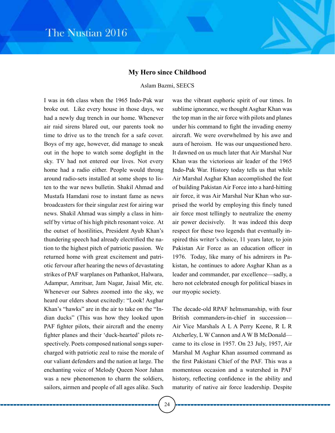### **My Hero since Childhood**

### Aslam Bazmi, SEECS

I was in 6th class when the 1965 Indo-Pak war broke out. Like every house in those days, we had a newly dug trench in our home. Whenever air raid sirens blared out, our parents took no time to drive us to the trench for a safe cover. Boys of my age, however, did manage to sneak out in the hope to watch some dogfight in the sky. TV had not entered our lives. Not every home had a radio either. People would throng around radio-sets installed at some shops to listen to the war news bulletin. Shakil Ahmad and Mustafa Hamdani rose to instant fame as news broadcasters for their singular zest for airing war news. Shakil Ahmad was simply a class in himself by virtue of his high pitch resonant voice. At the outset of hostilities, President Ayub Khan's thundering speech had already electrified the nation to the highest pitch of patriotic passion. We returned home with great excitement and patriotic fervour after hearing the news of devastating strikes of PAF warplanes on Pathankot, Halwara, Adampur, Amritsar, Jam Nagar, Jaisal Mir, etc. Whenever our Sabres zoomed into the sky, we heard our elders shout excitedly: "Look! Asghar Khan's "hawks" are in the air to take on the "Indian ducks" (This was how they looked upon PAF fighter pilots, their aircraft and the enemy fighter planes and their 'duck-hearted' pilots respectively. Poets composed national songs supercharged with patriotic zeal to raise the morale of our valiant defenders and the nation at large. The enchanting voice of Melody Queen Noor Jahan was a new phenomenon to charm the soldiers, sailors, airmen and people of all ages alike. Such

was the vibrant euphoric spirit of our times. In sublime ignorance, we thought Asghar Khan was the top man in the air force with pilots and planes under his command to fight the invading enemy aircraft. We were overwhelmed by his awe and aura of heroism. He was our unquestioned hero. It dawned on us much later that Air Marshal Nur Khan was the victorious air leader of the 1965 Indo-Pak War. History today tells us that while Air Marshal Asghar Khan accomplished the feat of building Pakistan Air Force into a hard-hitting air force, it was Air Marshal Nur Khan who surprised the world by employing this finely tuned air force most tellingly to neutralize the enemy air power decisively. It was indeed this deep respect for these two legends that eventually inspired this writer's choice, 11 years later, to join Pakistan Air Force as an education officer in 1976. Today, like many of his admirers in Pakistan, he continues to adore Asghar Khan as a leader and commander, par excellence—sadly, a hero not celebrated enough for political biases in our myopic society.

The decade-old RPAF helmsmanship, with four British commanders-in-chief in succession— Air Vice Marshals A L A Perry Keene, R L R Atcherley, L W Cannon and A W B McDonald came to its close in 1957. On 23 July, 1957, Air Marshal M Asghar Khan assumed command as the first Pakistani Chief of the PAF. This was a momentous occasion and a watershed in PAF history, reflecting confidence in the ability and maturity of native air force leadership. Despite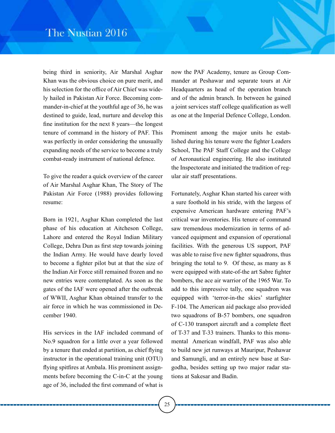being third in seniority, Air Marshal Asghar Khan was the obvious choice on pure merit, and his selection for the office of Air Chief was widely hailed in Pakistan Air Force. Becoming commander-in-chief at the youthful age of 36, he was destined to guide, lead, nurture and develop this fine institution for the next 8 years—the longest tenure of command in the history of PAF. This was perfectly in order considering the unusually expanding needs of the service to become a truly combat-ready instrument of national defence.

To give the reader a quick overview of the career of Air Marshal Asghar Khan, The Story of The Pakistan Air Force (1988) provides following resume:

Born in 1921, Asghar Khan completed the last phase of his education at Aitcheson College, Lahore and entered the Royal Indian Military College, Dehra Dun as first step towards joining the Indian Army. He would have dearly loved to become a fighter pilot but at that the size of the Indian Air Force still remained frozen and no new entries were contemplated. As soon as the gates of the IAF were opened after the outbreak of WWII, Asghar Khan obtained transfer to the air force in which he was commissioned in December 1940.

His services in the IAF included command of No.9 squadron for a little over a year followed by a tenure that ended at partition, as chief flying instructor in the operational training unit (OTU) flying spitfires at Ambala. His prominent assignments before becoming the C-in-C at the young age of 36, included the first command of what is

now the PAF Academy, tenure as Group Commander at Peshawar and separate tours at Air Headquarters as head of the operation branch and of the admin branch. In between he gained a joint services staff college qualification as well as one at the Imperial Defence College, London.

Prominent among the major units he established during his tenure were the fighter Leaders School, The PAF Staff College and the College of Aeronautical engineering. He also instituted the Inspectorate and initiated the tradition of regular air staff presentations.

Fortunately, Asghar Khan started his career with a sure foothold in his stride, with the largess of expensive American hardware entering PAF's critical war inventories. His tenure of command saw tremendous modernization in terms of advanced equipment and expansion of operational facilities. With the generous US support, PAF was able to raise five new fighter squadrons, thus bringing the total to 9. Of these, as many as 8 were equipped with state-of-the art Sabre fighter bombers, the ace air warrior of the 1965 War. To add to this impressive tally, one squadron was equipped with 'terror-in-the skies' starfighter F-104. The American aid package also provided two squadrons of B-57 bombers, one squadron of C-130 transport aircraft and a complete fleet of T-37 and T-33 trainers. Thanks to this monumental American windfall, PAF was also able to build new jet runways at Mauripur, Peshawar and Samungli, and an entirely new base at Sargodha, besides setting up two major radar stations at Sakesar and Badin.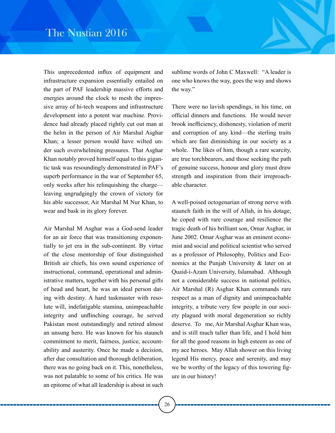This unprecedented influx of equipment and infrastructure expansion essentially entailed on the part of PAF leadership massive efforts and energies around the clock to mesh the impressive array of hi-tech weapons and infrastructure development into a potent war machine. Providence had already placed rightly cut out man at the helm in the person of Air Marshal Asghar Khan; a lesser person would have wilted under such overwhelming pressures. That Asghar Khan notably proved himself equal to this gigantic task was resoundingly demonstrated in PAF's superb performance in the war of September 65, only weeks after his relinquishing the charge leaving ungrudgingly the crown of victory for his able successor, Air Marshal M Nur Khan, to wear and bask in its glory forever.

Air Marshal M Asghar was a God-send leader for an air force that was transitioning exponentially to jet era in the sub-continent. By virtue of the close mentorship of four distinguished British air chiefs, his own sound experience of instructional, command, operational and administrative matters, together with his personal gifts of head and heart, he was an ideal person dating with destiny. A hard taskmaster with resolute will, indefatigable stamina, unimpeachable integrity and unflinching courage, he served Pakistan most outstandingly and retired almost an unsung hero. He was known for his staunch commitment to merit, fairness, justice, accountability and austerity. Once he made a decision, after due consultation and thorough deliberation, there was no going back on it. This, nonetheless, was not palatable to some of his critics. He was an epitome of what all leadership is about in such sublime words of John C Maxwell: "A leader is one who knows the way, goes the way and shows the way."

There were no lavish spendings, in his time, on official dinners and functions. He would never brook inefficiency, dishonesty, violation of merit and corruption of any kind—the sterling traits which are fast diminishing in our society as a whole. The likes of him, though a rare scarcity, are true torchbearers, and those seeking the path of genuine success, honour and glory must draw strength and inspiration from their irreproachable character.

A well-poised octogenarian of strong nerve with staunch faith in the will of Allah, in his dotage, he coped with rare courage and resilience the tragic death of his brilliant son, Omar Asghar, in June 2002. Omar Asghar was an eminent economist and social and political scientist who served as a professor of Philosophy, Politics and Economics at the Punjab University & later on at Quaid-i-Azam University, Islamabad. Although not a considerable success in national politics, Air Marshal (R) Asghar Khan commands rare respect as a man of dignity and unimpeachable integrity, a tribute very few people in our society plagued with moral degeneration so richly deserve. To me, Air Marshal Asghar Khan was, and is still much taller than life, and I hold him for all the good reasons in high esteem as one of my ace heroes. May Allah shower on this living legend His mercy, peace and serenity, and may we be worthy of the legacy of this towering figure in our history!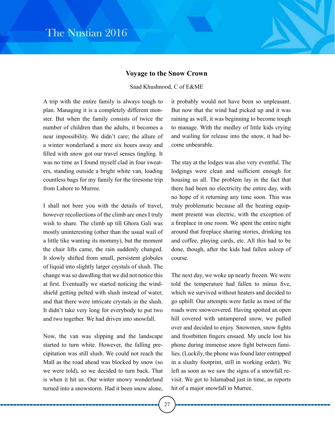

# **Voyage to the Snow Crown**

### Saad Khushnood, C of E&ME

A trip with the entire family is always tough to plan. Managing it is a completely different monster. But when the family consists of twice the number of children than the adults, it becomes a near impossibility. We didn't care; the allure of a winter wonderland a mere six hours away and filled with snow got our travel senses tingling. It was no time as I found myself clad in four sweaters, standing outside a bright white van, loading countless bags for my family for the tiresome trip from Lahore to Murree.

I shall not bore you with the details of travel, however recollections of the climb are ones I truly wish to share. The climb up till Ghora Gali was mostly uninteresting (other than the usual wail of a little tike wanting its mommy), but the moment the chair lifts came, the rain suddenly changed. It slowly shifted from small, persistent globules of liquid into slightly larger crystals of slush. The change was so dawdling that we did not notice this at first. Eventually we started noticing the windshield getting pelted with slush instead of water, and that there were intricate crystals in the slush. It didn't take very long for everybody to put two and two together. We had driven into snowfall.

Now, the van was slipping and the landscape started to turn white. However, the falling precipitation was still slush. We could not reach the Mall as the road ahead was blocked by snow (so we were told), so we decided to turn back. That is when it hit us. Our winter snowy wonderland turned into a snowstorm. Had it been snow alone,

it probably would not have been so unpleasant. But now that the wind had picked up and it was raining as well, it was beginning to become tough to manage. With the medley of little kids crying and wailing for release into the snow, it had become unbearable.

The stay at the lodges was also very eventful. The lodgings were clean and sufficient enough for housing us all. The problem lay in the fact that there had been no electricity the entire day, with no hope of it returning any time soon. This was truly problematic because all the heating equipment present was electric, with the exception of a fireplace in one room. We spent the entire night around that fireplace sharing stories, drinking tea and coffee, playing cards, etc. All this had to be done, though, after the kids had fallen asleep of course.

The next day, we woke up nearly frozen. We were told the temperature had fallen to minus five, which we survived without heaters and decided to go uphill. Our attempts were futile as most of the roads were snowcovered. Having spotted an open hill covered with untampered snow, we pulled over and decided to enjoy. Snowmen, snow fights and frostbitten fingers ensued. My uncle lost his phone during immense snow fight between families. (Luckily, the phone was found later entrapped in a slushy footprint, still in working order). We left as soon as we saw the signs of a snowfall revisit. We got to Islamabad just in time, as reports hit of a major snowfall in Murree.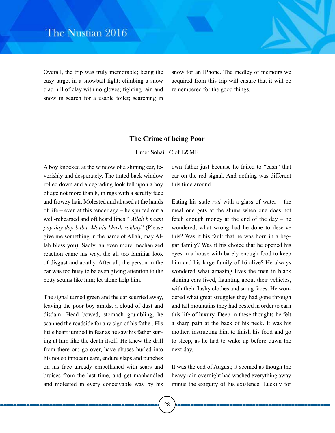Overall, the trip was truly memorable; being the easy target in a snowball fight; climbing a snow clad hill of clay with no gloves; fighting rain and snow in search for a usable toilet; searching in snow for an IPhone. The medley of memoirs we acquired from this trip will ensure that it will be remembered for the good things.

### **The Crime of being Poor**

Umer Sohail, C of E&ME

A boy knocked at the window of a shining car, feverishly and desperately. The tinted back window rolled down and a degrading look fell upon a boy of age not more than 8, in rags with a scruffy face and frowzy hair. Molested and abused at the hands of life – even at this tender age – he spurted out a well-rehearsed and oft heard lines " *Allah k naam pay day day baba, Maula khush rakhay*" (Please give me something in the name of Allah, may Allah bless you). Sadly, an even more mechanized reaction came his way, the all too familiar look of disgust and apathy. After all, the person in the car was too busy to be even giving attention to the petty scums like him; let alone help him.

The signal turned green and the car scurried away, leaving the poor boy amidst a cloud of dust and disdain. Head bowed, stomach grumbling, he scanned the roadside for any sign of his father. His little heart jumped in fear as he saw his father staring at him like the death itself. He knew the drill from there on; go over, have abuses hurled into his not so innocent ears, endure slaps and punches on his face already embellished with scars and bruises from the last time, and get manhandled and molested in every conceivable way by his own father just because he failed to "cash" that car on the red signal. And nothing was different this time around.

Eating his stale *roti* with a glass of water – the meal one gets at the slums when one does not fetch enough money at the end of the day – he wondered, what wrong had he done to deserve this? Was it his fault that he was born in a beggar family? Was it his choice that he opened his eyes in a house with barely enough food to keep him and his large family of 16 alive? He always wondered what amazing lives the men in black shining cars lived, flaunting about their vehicles, with their flashy clothes and smug faces. He wondered what great struggles they had gone through and tall mountains they had bested in order to earn this life of luxury. Deep in these thoughts he felt a sharp pain at the back of his neck. It was his mother, instructing him to finish his food and go to sleep, as he had to wake up before dawn the next day.

It was the end of August; it seemed as though the heavy rain overnight had washed everything away minus the exiguity of his existence. Luckily for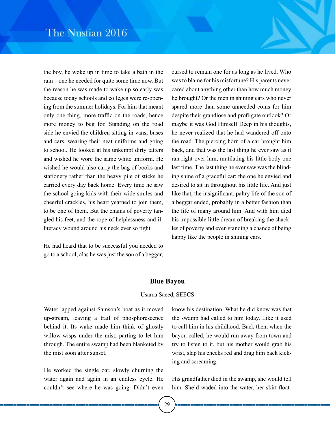the boy, he woke up in time to take a bath in the rain – one he needed for quite some time now. But the reason he was made to wake up so early was because today schools and colleges were re-opening from the summer holidays. For him that meant only one thing, more traffic on the roads, hence more money to beg for. Standing on the road side he envied the children sitting in vans, buses and cars, wearing their neat uniforms and going to school. He looked at his unkempt dirty tatters and wished he wore the same white uniform. He wished he would also carry the bag of books and stationery rather than the heavy pile of sticks he carried every day back home. Every time he saw the school going kids with their wide smiles and cheerful crackles, his heart yearned to join them, to be one of them. But the chains of poverty tangled his feet, and the rope of helplessness and illiteracy wound around his neck ever so tight.

He had heard that to be successful you needed to go to a school; alas he was just the son of a beggar,

cursed to remain one for as long as he lived. Who was to blame for his misfortune? His parents never cared about anything other than how much money he brought? Or the men in shining cars who never spared more than some unneeded coins for him despite their grandiose and profligate outlook? Or maybe it was God Himself Deep in his thoughts, he never realized that he had wandered off onto the road. The piercing horn of a car brought him back, and that was the last thing he ever saw as it ran right over him, mutilating his little body one last time. The last thing he ever saw was the blinding shine of a graceful car; the one he envied and desired to sit in throughout his little life. And just like that, the insignificant, paltry life of the son of a beggar ended, probably in a better fashion than the life of many around him. And with him died his impossible little dream of breaking the shackles of poverty and even standing a chance of being happy like the people in shining cars.

### **Blue Bayou**

#### Usama Saeed, SEECS

Water lapped against Samson's boat as it moved up-stream, leaving a trail of phosphorescence behind it. Its wake made him think of ghostly willow-wisps under the mist, parting to let him through. The entire swamp had been blanketed by the mist soon after sunset.

He worked the single oar, slowly churning the water again and again in an endless cycle. He couldn't see where he was going. Didn't even know his destination. What he did know was that the swamp had called to him today. Like it used to call him in his childhood. Back then, when the bayou called, he would run away from town and try to listen to it, but his mother would grab his wrist, slap his cheeks red and drag him back kicking and screaming.

His grandfather died in the swamp, she would tell him. She'd waded into the water, her skirt float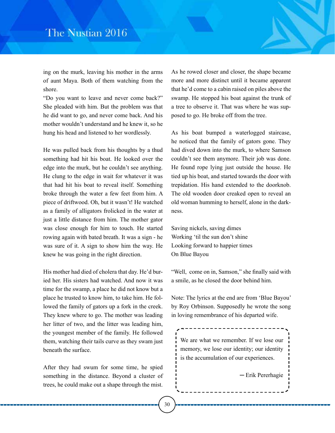ing on the murk, leaving his mother in the arms of aunt Maya. Both of them watching from the shore.

"Do you want to leave and never come back?" She pleaded with him. But the problem was that he did want to go, and never come back. And his mother wouldn't understand and he knew it, so he hung his head and listened to her wordlessly.

He was pulled back from his thoughts by a thud something had hit his boat. He looked over the edge into the murk, but he couldn't see anything. He clung to the edge in wait for whatever it was that had hit his boat to reveal itself. Something broke through the water a few feet from him. A piece of driftwood. Oh, but it wasn't! He watched as a family of alligators frolicked in the water at just a little distance from him. The mother gator was close enough for him to touch. He started rowing again with bated breath. It was a sign - he was sure of it. A sign to show him the way. He knew he was going in the right direction.

His mother had died of cholera that day. He'd buried her. His sisters had watched. And now it was time for the swamp, a place he did not know but a place he trusted to know him, to take him. He followed the family of gators up a fork in the creek. They knew where to go. The mother was leading her litter of two, and the litter was leading him, the youngest member of the family. He followed them, watching their tails curve as they swam just beneath the surface.

After they had swum for some time, he spied something in the distance. Beyond a cluster of trees, he could make out a shape through the mist.

As he rowed closer and closer, the shape became more and more distinct until it became apparent that he'd come to a cabin raised on piles above the swamp. He stopped his boat against the trunk of a tree to observe it. That was where he was supposed to go. He broke off from the tree.

As his boat bumped a waterlogged staircase, he noticed that the family of gators gone. They had dived down into the murk, to where Samson couldn't see them anymore. Their job was done. He found rope lying just outside the house. He tied up his boat, and started towards the door with trepidation. His hand extended to the doorknob. The old wooden door creaked open to reveal an old woman humming to herself, alone in the darkness.

Saving nickels, saving dimes Working 'til the sun don't shine Looking forward to happier times On Blue Bayou

"Well, come on in, Samson," she finally said with a smile, as he closed the door behind him.

Note: The lyrics at the end are from 'Blue Bayou' by Roy Orbinson. Supposedly he wrote the song in loving remembrance of his departed wife.

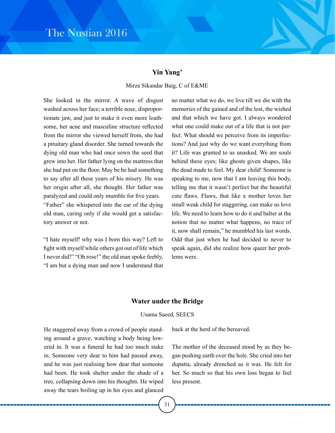# **Yin Yang'**

#### Mirza Sikandar Baig, C of E&ME

She looked in the mirror. A wave of disgust washed across her face; a terrible nose, disproportionate jaw, and just to make it even more loathsome, her acne and masculine structure reflected from the mirror she viewed herself from, she had a pituitary gland disorder. She turned towards the dying old man who had once sown the seed that grew into her. Her father lying on the mattress that she had put on the floor. May be he had something to say after all these years of his misery. He was her origin after all, she thought. Her father was paralyzed and could only mumble for five years. "Father" she whispered into the ear of the dying old man, caring only if she would get a satisfactory answer or not.

"I hate myself! why was I born this way? Left to fight with myself while others got out of life which I never did!" "Oh rose!" the old man spoke feebly, "I am but a dying man and now I understand that no matter what we do, we live till we die with the memories of the gained and of the lost, the wished and that which we have got. I always wondered what one could make out of a life that is not perfect. What should we perceive from its imperfections? And just why do we want everything from it? Life was granted to us unasked. We are souls behind these eyes; like ghosts given shapes, like the dead made to feel. My dear child! Someone is speaking to me, now that I am leaving this body, telling me that it wasn't perfect but the beautiful cute flaws. Flaws, that like a mother loves her small weak child for staggering, can make us love life. We need to learn how to do it and balter at the notion that no matter what happens, no trace of it, now shall remain," he mumbled his last words. Odd that just when he had decided to never to speak again, did she realize how queer her problems were.

### **Water under the Bridge**

Usama Saeed, SEECS

31

He staggered away from a crowd of people standing around a grave, watching a body being lowered in. It was a funeral he had too much stake in. Someone very dear to him had passed away, and he was just realising how dear that someone had been. He took shelter under the shade of a tree, collapsing down into his thoughts. He wiped away the tears boiling up in his eyes and glanced

back at the herd of the bereaved.

The mother of the deceased stood by as they began pushing earth over the hole. She cried into her dupatta, already drenched as it was. He felt for her. So much so that his own loss began to feel less present.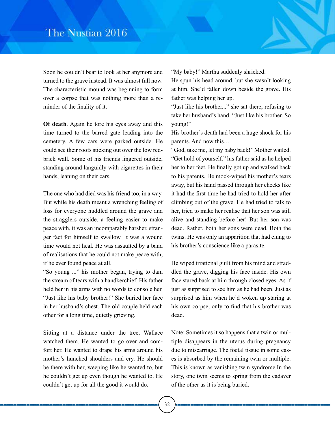Soon he couldn't bear to look at her anymore and turned to the grave instead. It was almost full now. The characteristic mound was beginning to form over a corpse that was nothing more than a reminder of the finality of it.

**Of death**. Again he tore his eyes away and this time turned to the barred gate leading into the cemetery. A few cars were parked outside. He could see their roofs sticking out over the low redbrick wall. Some of his friends lingered outside, standing around languidly with cigarettes in their hands, leaning on their cars.

The one who had died was his friend too, in a way. But while his death meant a wrenching feeling of loss for everyone huddled around the grave and the stragglers outside, a feeling easier to make peace with, it was an incomparably harsher, stranger fact for himself to swallow. It was a wound time would not heal. He was assaulted by a band of realisations that he could not make peace with, if he ever found peace at all.

"So young ..." his mother began, trying to dam the stream of tears with a handkerchief. His father held her in his arms with no words to console her. "Just like his baby brother!" She buried her face in her husband's chest. The old couple held each other for a long time, quietly grieving.

Sitting at a distance under the tree, Wallace watched them. He wanted to go over and comfort her. He wanted to drape his arms around his mother's hunched shoulders and cry. He should be there with her, weeping like he wanted to, but he couldn't get up even though he wanted to. He couldn't get up for all the good it would do.

"My baby!" Martha suddenly shrieked.

He spun his head around, but she wasn't looking at him. She'd fallen down beside the grave. His father was helping her up.

"Just like his brother..." she sat there, refusing to take her husband's hand. "Just like his brother. So young!"

His brother's death had been a huge shock for his parents. And now this…

"God, take me, let my baby back!" Mother wailed. "Get hold of yourself," his father said as he helped her to her feet. He finally got up and walked back to his parents. He mock-wiped his mother's tears away, but his hand passed through her cheeks like it had the first time he had tried to hold her after climbing out of the grave. He had tried to talk to her, tried to make her realise that her son was still alive and standing before her! But her son was dead. Rather, both her sons were dead. Both the twins. He was only an apparition that had clung to his brother's conscience like a parasite.

He wiped irrational guilt from his mind and straddled the grave, digging his face inside. His own face stared back at him through closed eyes. As if just as surprised to see him as he had been. Just as surprised as him when he'd woken up staring at his own corpse, only to find that his brother was dead.

Note: Sometimes it so happens that a twin or multiple disappears in the uterus during pregnancy due to miscarriage. The foetal tissue in some cases is absorbed by the remaining twin or multiple. This is known as vanishing twin syndrome.In the story, one twin seems to spring from the cadaver of the other as it is being buried.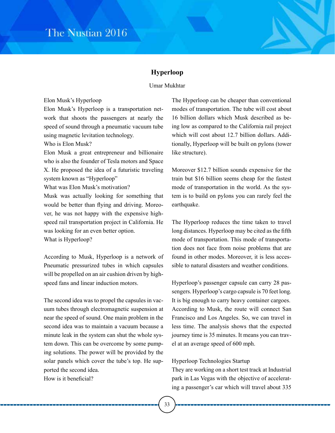# **Hyperloop**

#### Umar Mukhtar

Elon Musk's Hyperloop

Elon Musk's Hyperloop is a transportation network that shoots the passengers at nearly the speed of sound through a pneumatic vacuum tube using magnetic levitation technology.

Who is Elon Musk?

Elon Musk a great entrepreneur and billionaire who is also the founder of Tesla motors and Space X. He proposed the idea of a futuristic traveling system known as "Hyperloop"

What was Elon Musk's motivation?

Musk was actually looking for something that would be better than flying and driving. Moreover, he was not happy with the expensive highspeed rail transportation project in California. He was looking for an even better option. What is Hyperloop?

According to Musk, Hyperloop is a network of Pneumatic pressurized tubes in which capsules will be propelled on an air cushion driven by highspeed fans and linear induction motors.

The second idea was to propel the capsules in vacuum tubes through electromagnetic suspension at near the speed of sound. One main problem in the second idea was to maintain a vacuum because a minute leak in the system can shut the whole system down. This can be overcome by some pumping solutions. The power will be provided by the solar panels which cover the tube's top. He supported the second idea. How is it beneficial?

The Hyperloop can be cheaper than conventional modes of transportation. The tube will cost about 16 billion dollars which Musk described as being low as compared to the California rail project which will cost about 12.7 billion dollars. Additionally, Hyperloop will be built on pylons (tower like structure).

Moreover \$12.7 billion sounds expensive for the train but \$16 billion seems cheap for the fastest mode of transportation in the world. As the system is to build on pylons you can rarely feel the earthquake.

The Hyperloop reduces the time taken to travel long distances. Hyperloop may be cited as the fifth mode of transportation. This mode of transportation does not face from noise problems that are found in other modes. Moreover, it is less accessible to natural disasters and weather conditions.

Hyperloop's passenger capsule can carry 28 passengers. Hyperloop's cargo capsule is 70 feet long. It is big enough to carry heavy container cargoes. According to Musk, the route will connect San Francisco and Los Angeles. So, we can travel in less time. The analysis shows that the expected journey time is 35 minutes. It means you can travel at an average speed of 600 mph.

### Hyperloop Technologies Startup

They are working on a short test track at Industrial park in Las Vegas with the objective of accelerating a passenger's car which will travel about 335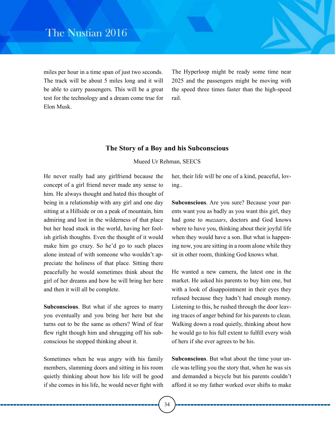miles per hour in a time span of just two seconds. The track will be about 5 miles long and it will be able to carry passengers. This will be a great test for the technology and a dream come true for Elon Musk.

The Hyperloop might be ready some time near 2025 and the passengers might be moving with the speed three times faster than the high-speed rail.

### **The Story of a Boy and his Subconscious**

Mueed Ur Rehman, SEECS

He never really had any girlfriend because the concept of a girl friend never made any sense to him. He always thought and hated this thought of being in a relationship with any girl and one day sitting at a Hillside or on a peak of mountain, him admiring and lost in the wilderness of that place but her head stuck in the world, having her foolish girlish thoughts. Even the thought of it would make him go crazy. So he'd go to such places alone instead of with someone who wouldn't appreciate the holiness of that place. Sitting there peacefully he would sometimes think about the girl of her dreams and how he will bring her here and then it will all be complete.

**Subconscious**. But what if she agrees to marry you eventually and you bring her here but she turns out to be the same as others? Wind of fear flew right though him and shrugging off his subconscious he stopped thinking about it.

Sometimes when he was angry with his family members, slamming doors and sitting in his room quietly thinking about how his life will be good if she comes in his life, he would never fight with her, their life will be one of a kind, peaceful, loving..

**Subconscious**. Are you sure? Because your parents want you as badly as you want this girl, they had gone to *mazaars*, doctors and God knows where to have you, thinking about their joyful life when they would have a son. But what is happening now, you are sitting in a room alone while they sit in other room, thinking God knows what.

He wanted a new camera, the latest one in the market. He asked his parents to buy him one, but with a look of disappointment in their eyes they refused because they hadn't had enough money. Listening to this, he rushed through the door leaving traces of anger behind for his parents to clean. Walking down a road quietly, thinking about how he would go to his full extent to fulfill every wish of hers if she ever agrees to be his.

**Subconscious**. But what about the time your uncle was telling you the story that, when he was six and demanded a bicycle but his parents couldn't afford it so my father worked over shifts to make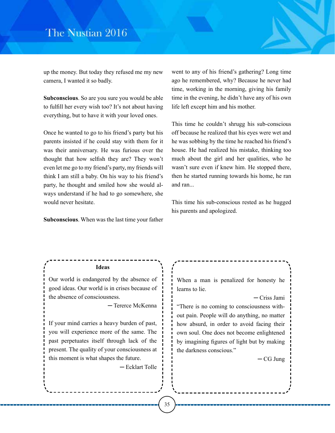up the money. But today they refused me my new camera, I wanted it so badly.

**Subconscious**. So are you sure you would be able to fulfill her every wish too? It's not about having everything, but to have it with your loved ones.

Once he wanted to go to his friend's party but his parents insisted if he could stay with them for it was their anniversary. He was furious over the thought that how selfish they are? They won't even let me go to my friend's party, my friends will think I am still a baby. On his way to his friend's party, he thought and smiled how she would always understand if he had to go somewhere, she would never hesitate.

**Subconscious**. When was the last time your father

went to any of his friend's gathering? Long time ago he remembered, why? Because he never had time, working in the morning, giving his family time in the evening, he didn't have any of his own life left except him and his mother.

This time he couldn't shrugg his sub-conscious off because he realized that his eyes were wet and he was sobbing by the time he reached his friend's house. He had realized his mistake, thinking too much about the girl and her qualities, who he wasn't sure even if knew him. He stopped there, then he started running towards his home, he ran and ran...

This time his sub-conscious rested as he hugged his parents and apologized.

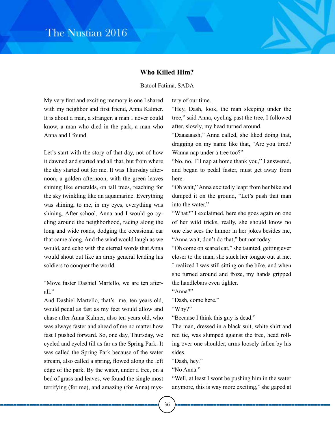

# **Who Killed Him?**

#### Batool Fatima, SADA

My very first and exciting memory is one I shared with my neighbor and first friend, Anna Kalmer. It is about a man, a stranger, a man I never could know, a man who died in the park, a man who Anna and I found.

Let's start with the story of that day, not of how it dawned and started and all that, but from where the day started out for me. It was Thursday afternoon, a golden afternoon, with the green leaves shining like emeralds, on tall trees, reaching for the sky twinkling like an aquamarine. Everything was shining, to me, in my eyes, everything was shining. After school, Anna and I would go cycling around the neighborhood, racing along the long and wide roads, dodging the occasional car that came along. And the wind would laugh as we would, and echo with the eternal words that Anna would shout out like an army general leading his soldiers to conquer the world.

"Move faster Dashiel Martello, we are ten afterall."

And Dashiel Martello, that's me, ten years old, would pedal as fast as my feet would allow and chase after Anna Kalmer, also ten years old, who was always faster and ahead of me no matter how fast I pushed forward. So, one day, Thursday, we cycled and cycled till as far as the Spring Park. It was called the Spring Park because of the water stream, also called a spring, flowed along the left edge of the park. By the water, under a tree, on a bed of grass and leaves, we found the single most terrifying (for me), and amazing (for Anna) mystery of our time.

"Hey, Dash, look, the man sleeping under the tree," said Anna, cycling past the tree, I followed after, slowly, my head turned around.

"Daaaaaash," Anna called, she liked doing that, dragging on my name like that, "Are you tired? Wanna nap under a tree too?"

"No, no, I'll nap at home thank you," I answered, and began to pedal faster, must get away from here.

"Oh wait," Anna excitedly leapt from her bike and dumped it on the ground, "Let's push that man into the water."

"What?" I exclaimed, here she goes again on one of her wild tricks, really, she should know no one else sees the humor in her jokes besides me, "Anna wait, don't do that," but not today.

"Oh come on scared cat," she taunted, getting ever closer to the man, she stuck her tongue out at me. I realized I was still sitting on the bike, and when she turned around and froze, my hands gripped the handlebars even tighter.

"Anna?"

"Dash, come here."

"Why?"

"Because I think this guy is dead."

The man, dressed in a black suit, white shirt and red tie, was slumped against the tree, head rolling over one shoulder, arms loosely fallen by his sides.

"Dash, hey."

"No Anna."

"Well, at least I wont be pushing him in the water anymore, this is way more exciting," she gaped at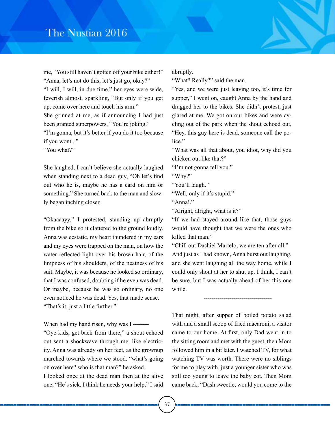me, "You still haven't gotten off your bike either!" "Anna, let's not do this, let's just go, okay?" "I will, I will, in due time," her eyes were wide, feverish almost, sparkling, "But only if you get up, come over here and touch his arm." She grinned at me, as if announcing I had just been granted superpowers, "You're joking." "I'm gonna, but it's better if you do it too because if you wont..."

"You what?"

She laughed, I can't believe she actually laughed when standing next to a dead guy, "Oh let's find out who he is, maybe he has a card on him or something." She turned back to the man and slowly began inching closer.

"Okaaaayy," I protested, standing up abruptly from the bike so it clattered to the ground loudly. Anna was ecstatic, my heart thundered in my ears and my eyes were trapped on the man, on how the water reflected light over his brown hair, of the limpness of his shoulders, of the neatness of his suit. Maybe, it was because he looked so ordinary, that I was confused, doubting if he even was dead. Or maybe, because he was so ordinary, no one even noticed he was dead. Yes, that made sense. "That's it, just a little further."

When had my hand risen, why was I --------

"Oye kids, get back from there," a shout echoed out sent a shockwave through me, like electricity. Anna was already on her feet, as the grownup marched towards where we stood. "what's going on over here? who is that man?" he asked.

I looked once at the dead man then at the alive one, "He's sick, I think he needs your help," I said abruptly.

"What? Really?" said the man.

"Yes, and we were just leaving too, it's time for supper," I went on, caught Anna by the hand and dragged her to the bikes. She didn't protest, just glared at me. We got on our bikes and were cycling out of the park when the shout echoed out, "Hey, this guy here is dead, someone call the police."

"What was all that about, you idiot, why did you chicken out like that?"

"I'm not gonna tell you."

"Why?"

"You'll laugh."

"Well, only if it's stupid."

"Anna!."

"Alright, alright, what is it?"

"If we had stayed around like that, those guys would have thought that we were the ones who killed that man."

"Chill out Dashiel Martelo, we are ten after all." And just as I had known, Anna burst out laughing, and she went laughing all the way home, while I could only shout at her to shut up. I think, I can't be sure, but I was actually ahead of her this one while.

----------------------------------

That night, after supper of boiled potato salad with and a small scoop of fried macaroni, a visitor came to our home. At first, only Dad went in to the sitting room and met with the guest, then Mom followed him in a bit later. I watched TV, for what watching TV was worth. There were no siblings for me to play with, just a younger sister who was still too young to leave the baby cot. Then Mom came back, "Dash sweetie, would you come to the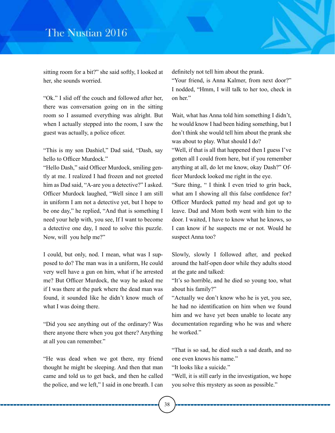sitting room for a bit?" she said softly, I looked at her, she sounds worried.

"Ok." I slid off the couch and followed after her, there was conversation going on in the sitting room so I assumed everything was alright. But when I actually stepped into the room, I saw the guest was actually, a police oficer.

"This is my son Dashiel," Dad said, "Dash, say hello to Officer Murdock."

"Hello Dash," said Officer Murdock, smiling gently at me. I realized I had frozen and not greeted him as Dad said, "A-are you a detective?" I asked. Officer Murdock laughed, "Well since I am still in uniform I am not a detective yet, but I hope to be one day," he replied, "And that is something I need your help with, you see, If I want to become a detective one day, I need to solve this puzzle. Now, will you help me?"

I could, but only, nod. I mean, what was I supposed to do? The man was in a uniform, He could very well have a gun on him, what if he arrested me? But Officer Murdock, the way he asked me if I was there at the park where the dead man was found, it sounded like he didn't know much of what I was doing there.

"Did you see anything out of the ordinary? Was there anyone there when you got there? Anything at all you can remember."

"He was dead when we got there, my friend thought he might be sleeping. And then that man came and told us to get back, and then he called the police, and we left," I said in one breath. I can

definitely not tell him about the prank.

"Your friend, is Anna Kalmer, from next door?" I nodded, "Hmm, I will talk to her too, check in on her."

Wait, what has Anna told him something I didn't, he would know I had been hiding something, but I don't think she would tell him about the prank she was about to play. What should I do?

"Well, if that is all that happened then I guess I've gotten all I could from here, but if you remember anything at all, do let me know, okay Dash?" Officer Murdock looked me right in the eye.

"Sure thing, " I think I even tried to grin back, what am I showing all this false confidence for? Officer Murdock patted my head and got up to leave. Dad and Mom both went with him to the door. I waited, I have to know what he knows, so I can know if he suspects me or not. Would he suspect Anna too?

Slowly, slowly I followed after, and peeked around the half-open door while they adults stood at the gate and talked:

"It's so horrible, and he died so young too, what about his family?"

"Actually we don't know who he is yet, you see, he had no identification on him when we found him and we have yet been unable to locate any documentation regarding who he was and where he worked."

"That is so sad, he died such a sad death, and no one even knows his name."

"It looks like a suicide."

"Well, it is still early in the investigation, we hope you solve this mystery as soon as possible."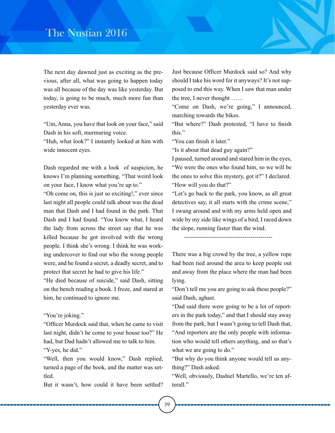The next day dawned just as exciting as the previous, after all, what was going to happen today was all because of the day was like yesterday. But today, is going to be much, much more fun than yesterday ever was.

"Um, Anna, you have that look on your face," said Dash in his soft, murmuring voice.

"Huh, what look?" I instantly looked at him with wide innocent eyes.

Dash regarded me with a look of suspicion, he knows I'm planning something, "That weird look on your face, I know what you're up to."

"Oh come on, this is just so exciting!," ever since last night all people could talk about was the dead man that Dash and I had found in the park. That Dash and I had found. "You know what, I heard the lady from across the street say that he was killed because he got involved with the wrong people. I think she's wrong. I think he was working undercover to find out who the wrong people were, and he found a secret, a deadly secret, and to protect that secret he had to give his life."

"He died because of suicide," said Dash, sitting on the bench reading a book. I froze, and stared at him, he continued to ignore me.

#### "You're joking."

"Officer Murdock said that, when he came to visit last night, didn't he come to your house too?" He had, but Dad hadn't allowed me to talk to him. "Y-yes, he did."

"Well, then you would know," Dash replied, turned a page of the book, and the matter was settled.

But it wasn't, how could it have been settled?

Just because Officer Murdock said so? And why should I take his word for it anyways? It's not supposed to end this way. When I saw that man under the tree, I never thought ……

"Come on Dash, we're going," I announced, marching towards the bikes.

"But where?" Dash protested, "I have to finish this."

"You can finish it later."

"Is it about that dead guy again?"

I paused, turned around and stared him in the eyes, "We were the ones who found him, so we will be the ones to solve this mystery, got it?" I declared. "How will you do that?"

"Let's go back to the park, you know, as all great detectives say, it all starts with the crime scene," I swung around and with my arms held open and wide by my side like wings of a bird, I raced down the slope, running faster than the wind.

--------------------------------------------

There was a big crowd by the tree, a yellow rope had been tied around the area to keep people out and away from the place where the man had been lying.

"Don't tell me you are going to ask these people?" said Dash, aghast.

"Dad said there were going to be a lot of reporters in the park today," and that I should stay away from the park, but I wasn't going to tell Dash that, "And reporters are the only people with information who would tell others anything, and so that's what we are going to do."

"But why do you think anyone would tell us anything?" Dash asked.

"Well, obviously, Dashiel Martello, we're ten afterall."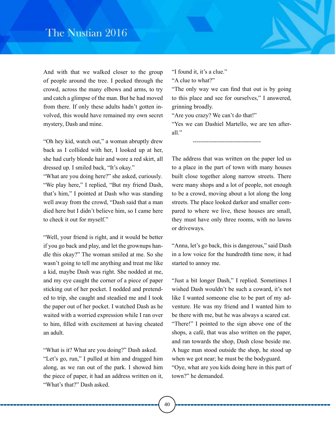And with that we walked closer to the group of people around the tree. I peeked through the crowd, across the many elbows and arms, to try and catch a glimpse of the man. But he had moved from there. If only these adults hadn't gotten involved, this would have remained my own secret mystery, Dash and mine.

"Oh hey kid, watch out," a woman abruptly drew back as I collided with her, I looked up at her, she had curly blonde hair and wore a red skirt, all dressed up. I smiled back, "It's okay."

"What are you doing here?" she asked, curiously. "We play here," I replied, "But my friend Dash, that's him," I pointed at Dash who was standing well away from the crowd, "Dash said that a man died here but I didn't believe him, so I came here to check it out for myself."

"Well, your friend is right, and it would be better if you go back and play, and let the grownups handle this okay?" The woman smiled at me. So she wasn't going to tell me anything and treat me like a kid, maybe Dash was right. She nodded at me, and my eye caught the corner of a piece of paper sticking out of her pocket. I nodded and pretended to trip, she caught and steadied me and I took the paper out of her pocket. I watched Dash as he waited with a worried expression while I ran over to him, filled with excitement at having cheated an adult.

"What is it? What are you doing?" Dash asked.

"Let's go, run," I pulled at him and dragged him along, as we ran out of the park. I showed him the piece of paper, it had an address written on it, "What's that?" Dash asked.

"I found it, it's a clue."

"A clue to what?"

"The only way we can find that out is by going to this place and see for ourselves," I answered, grinning broadly.

"Are you crazy? We can't do that!"

"Yes we can Dashiel Martello, we are ten afterall."

----------------------------------

The address that was written on the paper led us to a place in the part of town with many houses built close together along narrow streets. There were many shops and a lot of people, not enough to be a crowd, moving about a lot along the long streets. The place looked darker and smaller compared to where we live, these houses are small, they must have only three rooms, with no lawns or driveways.

"Anna, let's go back, this is dangerous," said Dash in a low voice for the hundredth time now, it had started to annoy me.

"Just a bit longer Dash," I replied. Sometimes I wished Dash wouldn't be such a coward, it's not like I wanted someone else to be part of my adventure. He was my friend and I wanted him to be there with me, but he was always a scared cat. "There!" I pointed to the sign above one of the shops, a café, that was also written on the paper, and ran towards the shop, Dash close beside me. A huge man stood outside the shop, he stood up when we got near; he must be the bodyguard. "Oye, what are you kids doing here in this part of town?" he demanded.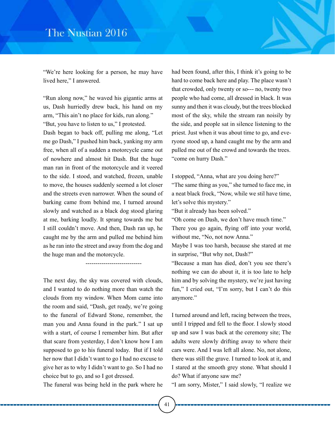"We're here looking for a person, he may have lived here," I answered.

"Run along now," he waved his gigantic arms at us, Dash hurriedly drew back, his hand on my arm, "This ain't no place for kids, run along." "But, you have to listen to us," I protested.

Dash began to back off, pulling me along, "Let me go Dash," I pushed him back, yanking my arm free, when all of a sudden a motorcycle came out of nowhere and almost hit Dash. But the huge man ran in front of the motorcycle and it veered to the side. I stood, and watched, frozen, unable to move, the houses suddenly seemed a lot closer and the streets even narrower. When the sound of barking came from behind me, I turned around slowly and watched as a black dog stood glaring at me, barking loudly. It sprang towards me but I still couldn't move. And then, Dash ran up, he caught me by the arm and pulled me behind him as he ran into the street and away from the dog and the huge man and the motorcycle.

----------------------------

The next day, the sky was covered with clouds, and I wanted to do nothing more than watch the clouds from my window. When Mom came into the room and said, "Dash, get ready, we're going to the funeral of Edward Stone, remember, the man you and Anna found in the park." I sat up with a start, of course I remember him. But after that scare from yesterday, I don't know how I am supposed to go to his funeral today. But if I told her now that I didn't want to go I had no excuse to give her as to why I didn't want to go. So I had no choice but to go, and so I got dressed.

The funeral was being held in the park where he

had been found, after this, I think it's going to be hard to come back here and play. The place wasn't that crowded, only twenty or so--- no, twenty two people who had come, all dressed in black. It was sunny and then it was cloudy, but the trees blocked most of the sky, while the stream ran noisily by the side, and people sat in silence listening to the priest. Just when it was about time to go, and everyone stood up, a hand caught me by the arm and pulled me out of the crowd and towards the trees. "come on hurry Dash."

I stopped, "Anna, what are you doing here?"

"The same thing as you," she turned to face me, in a neat black frock, "Now, while we stil have time, let's solve this mystery."

"But it already has been solved."

"Oh come on Dash, we don't have much time."

There you go again, flying off into your world, without me, "No, not now Anna."

Maybe I was too harsh, because she stared at me in surprise, "But why not, Dash?"

"Because a man has died, don't you see there's nothing we can do about it, it is too late to help him and by solving the mystery, we're just having fun," I cried out, "I'm sorry, but I can't do this anymore."

I turned around and left, racing between the trees, until I tripped and fell to the floor. I slowly stood up and saw I was back at the ceremony site; The adults were slowly drifting away to where their cars were. And I was left all alone. No, not alone, there was still the grave. I turned to look at it, and I stared at the smooth grey stone. What should I do? What if anyone saw me?

"I am sorry, Mister," I said slowly, "I realize we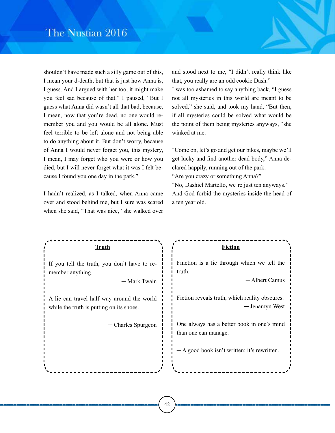shouldn't have made such a silly game out of this, I mean your d-death, but that is just how Anna is, I guess. And I argued with her too, it might make you feel sad because of that." I paused, "But I guess what Anna did wasn't all that bad, because, I mean, now that you're dead, no one would remember you and you would be all alone. Must feel terrible to be left alone and not being able to do anything about it. But don't worry, because of Anna I would never forget you, this mystery, I mean, I may forget who you were or how you died, but I will never forget what it was I felt because I found you one day in the park."

I hadn't realized, as I talked, when Anna came over and stood behind me, but I sure was scared when she said, "That was nice," she walked over and stood next to me, "I didn't really think like that, you really are an odd cookie Dash."

I was too ashamed to say anything back, "I guess not all mysteries in this world are meant to be solved," she said, and took my hand, "But then, if all mysteries could be solved what would be the point of them being mysteries anyways, "she winked at me.

"Come on, let's go and get our bikes, maybe we'll get lucky and find another dead body," Anna declared happily, running out of the park. "Are you crazy or something Anna?"

"No, Dashiel Martello, we're just ten anyways." And God forbid the mysteries inside the head of a ten year old.

| <b>Truth</b>                                                                           | <b>Fiction</b>                                                     |
|----------------------------------------------------------------------------------------|--------------------------------------------------------------------|
| If you tell the truth, you don't have to re-<br>member anything.                       | Finction is a lie through which we tell the<br>truth.              |
| - Mark Twain                                                                           | - Albert Camus                                                     |
| A lie can travel half way around the world<br>while the truth is putting on its shoes. | Fiction reveals truth, which reality obscures.<br>— Jenamyn West   |
| — Charles Spurgeon                                                                     | One always has a better book in one's mind<br>than one can manage. |
|                                                                                        | - A good book isn't written; it's rewritten.                       |
|                                                                                        |                                                                    |

42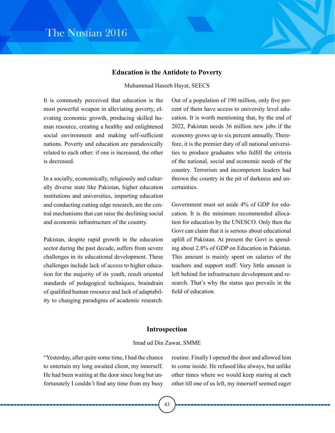

### **Education is the Antidote to Poverty**

Muhammad Haseeb Hayat, SEECS

It is commonly perceived that education is the most powerful weapon in alleviating poverty, elevating economic growth, producing skilled human resource, creating a healthy and enlightened social environment and making self-sufficient nations. Poverty and education are paradoxically related to each other: if one is increased, the other is decreased.

In a socially, economically, religiously and culturally diverse state like Pakistan, higher education institutions and universities, imparting education and conducting cutting edge research, are the central mechanisms that can raise the declining social and economic infrastructure of the country.

Pakistan, despite rapid growth in the education sector during the past decade, suffers from severe challenges in its educational development. These challenges include lack of access to higher education for the majority of its youth, result oriented standards of pedagogical techniques, braindrain of qualified human resource and lack of adaptability to changing paradigms of academic research.

Out of a population of 190 million, only five percent of them have access to university level education. It is worth mentioning that, by the end of 2022, Pakistan needs 36 million new jobs if the economy grows up to six percent annually. Therefore, it is the premier duty of all national universities to produce graduates who fulfill the criteria of the national, social and economic needs of the country. Terrorism and incompetent leaders had thrown the country in the pit of darkness and uncertainties.

Government must set aside 4% of GDP for education. It is the minimum recommended allocation for education by the UNESCO. Only then the Govt can claim that it is serious about educational uplift of Pakistan. At present the Govt is spending about 2.8% of GDP on Education in Pakistan. This amount is mainly spent on salaries of the teachers and support staff. Very little amount is left behind for infrastructure development and research. That's why the status quo prevails in the field of education.

#### **Introspection**

#### Imad ud Din Zawar, SMME

43

"Yesterday, after quite some time, I had the chance to entertain my long awaited client, my innerself. He had been waiting at the door since long but unfortunately I couldn't find any time from my busy routine. Finally I opened the door and allowed him to come inside. He refused like always, but unlike other times where we would keep staring at each other till one of us left, my innerself seemed eager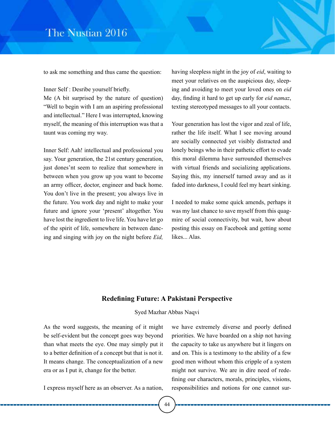to ask me something and thus came the question:

Inner Self : Desribe yourself briefly.

Me (A bit surprised by the nature of question) "Well to begin with I am an aspiring professional and intellectual." Here I was interrupted, knowing myself, the meaning of this interruption was that a taunt was coming my way.

Inner Self: Aah! intellectual and professional you say. Your generation, the 21st century generation, just dones'nt seem to realize that somewhere in between when you grow up you want to become an army officer, doctor, engineer and back home. You don't live in the present; you always live in the future. You work day and night to make your future and ignore your 'present' altogether. You have lost the ingredient to live life. You have let go of the spirit of life, somewhere in between dancing and singing with joy on the night before *Eid,*

having sleepless night in the joy of *eid*, waiting to meet your relatives on the auspicious day, sleeping and avoiding to meet your loved ones on *eid* day, finding it hard to get up early for *eid namaz*, texting stereotyped messages to all your contacts.

Your generation has lost the vigor and zeal of life, rather the life itself. What I see moving around are socially connected yet visibly distracted and lonely beings who in their pathetic effort to evade this moral dilemma have surrounded themselves with virtual friends and socializing applications. Saying this, my innerself turned away and as it faded into darkness, I could feel my heart sinking.

I needed to make some quick amends, perhaps it was my last chance to save myself from this quagmire of social connectivity, but wait, how about posting this essay on Facebook and getting some likes. Alas.

### **Redefining Future: A Pakistani Perspective**

Syed Mazhar Abbas Naqvi

As the word suggests, the meaning of it might be self-evident but the concept goes way beyond than what meets the eye. One may simply put it to a better definition of a concept but that is not it. It means change. The conceptualization of a new era or as I put it, change for the better.

we have extremely diverse and poorly defined priorities. We have boarded on a ship not having the capacity to take us anywhere but it lingers on and on. This is a testimony to the ability of a few good men without whom this cripple of a system might not survive. We are in dire need of redefining our characters, morals, principles, visions, responsibilities and notions for one cannot sur-

I express myself here as an observer. As a nation,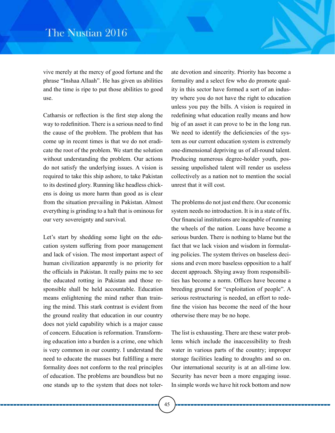vive merely at the mercy of good fortune and the phrase "Inshaa Allaah". He has given us abilities and the time is ripe to put those abilities to good use.

Catharsis or reflection is the first step along the way to redefinition. There is a serious need to find the cause of the problem. The problem that has come up in recent times is that we do not eradicate the root of the problem. We start the solution without understanding the problem. Our actions do not satisfy the underlying issues. A vision is required to take this ship ashore, to take Pakistan to its destined glory. Running like headless chickens is doing us more harm than good as is clear from the situation prevailing in Pakistan. Almost everything is grinding to a halt that is ominous for our very sovereignty and survival.

Let's start by shedding some light on the education system suffering from poor management and lack of vision. The most important aspect of human civilization apparently is no priority for the officials in Pakistan. It really pains me to see the educated rotting in Pakistan and those responsible shall be held accountable. Education means enlightening the mind rather than training the mind. This stark contrast is evident from the ground reality that education in our country does not yield capability which is a major cause of concern. Education is reformation. Transforming education into a burden is a crime, one which is very common in our country. I understand the need to educate the masses but fulfilling a mere formality does not conform to the real principles of education. The problems are boundless but no one stands up to the system that does not tolerate devotion and sincerity. Priority has become a formality and a select few who do promote quality in this sector have formed a sort of an industry where you do not have the right to education unless you pay the bills. A vision is required in redefining what education really means and how big of an asset it can prove to be in the long run. We need to identify the deficiencies of the system as our current education system is extremely one-dimensional depriving us of all-round talent. Producing numerous degree-holder youth, possessing unpolished talent will render us useless collectively as a nation not to mention the social unrest that it will cost.

The problems do not just end there. Our economic system needs no introduction. It is in a state of fix. Our financial institutions are incapable of running the wheels of the nation. Loans have become a serious burden. There is nothing to blame but the fact that we lack vision and wisdom in formulating policies. The system thrives on baseless decisions and even more baseless opposition to a half decent approach. Shying away from responsibilities has become a norm. Offices have become a breeding ground for "exploitation of people". A serious restructuring is needed, an effort to redefine the vision has become the need of the hour otherwise there may be no hope.

The list is exhausting. There are these water problems which include the inaccessibility to fresh water in various parts of the country; improper storage facilities leading to droughts and so on. Our international security is at an all-time low. Security has never been a more engaging issue. In simple words we have hit rock bottom and now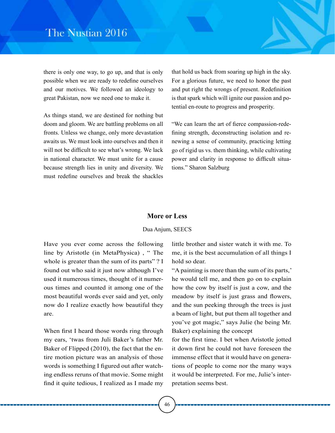there is only one way, to go up, and that is only possible when we are ready to redefine ourselves and our motives. We followed an ideology to great Pakistan, now we need one to make it.

As things stand, we are destined for nothing but doom and gloom. We are battling problems on all fronts. Unless we change, only more devastation awaits us. We must look into ourselves and then it will not be difficult to see what's wrong. We lack in national character. We must unite for a cause because strength lies in unity and diversity. We must redefine ourselves and break the shackles

that hold us back from soaring up high in the sky. For a glorious future, we need to honor the past and put right the wrongs of present. Redefinition is that spark which will ignite our passion and potential en-route to progress and prosperity.

"We can learn the art of fierce compassion-redefining strength, deconstructing isolation and renewing a sense of community, practicing letting go of rigid us vs. them thinking, while cultivating power and clarity in response to difficult situations." Sharon Salzburg

#### **More or Less**

#### Dua Anjum, SEECS

Have you ever come across the following line by Aristotle (in MetaPhysica) , " The whole is greater than the sum of its parts"? I found out who said it just now although I've used it numerous times, thought of it numerous times and counted it among one of the most beautiful words ever said and yet, only now do I realize exactly how beautiful they are.

When first I heard those words ring through my ears, 'twas from Juli Baker's father Mr. Baker of Flipped (2010), the fact that the entire motion picture was an analysis of those words is something I figured out after watching endless reruns of that movie. Some might find it quite tedious, I realized as I made my little brother and sister watch it with me. To me, it is the best accumulation of all things I hold so dear.

"A painting is more than the sum of its parts,' he would tell me, and then go on to explain how the cow by itself is just a cow, and the meadow by itself is just grass and flowers, and the sun peeking through the trees is just a beam of light, but put them all together and you've got magic," says Julie (he being Mr. Baker) explaining the concept

for the first time. I bet when Aristotle jotted it down first he could not have foreseen the immense effect that it would have on generations of people to come nor the many ways it would be interpreted. For me, Julie's interpretation seems best.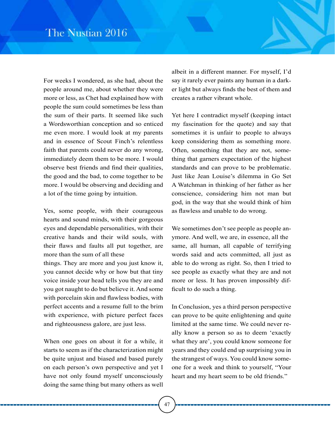For weeks I wondered, as she had, about the people around me, about whether they were more or less, as Chet had explained how with people the sum could sometimes be less than the sum of their parts. It seemed like such a Wordsworthian conception and so enticed me even more. I would look at my parents and in essence of Scout Finch's relentless faith that parents could never do any wrong, immediately deem them to be more. I would observe best friends and find their qualities, the good and the bad, to come together to be more. I would be observing and deciding and a lot of the time going by intuition.

Yes, some people, with their courageous hearts and sound minds, with their gorgeous eyes and dependable personalities, with their creative hands and their wild souls, with their flaws and faults all put together, are more than the sum of all these

things. They are more and you just know it, you cannot decide why or how but that tiny voice inside your head tells you they are and you got naught to do but believe it. And some with porcelain skin and flawless bodies, with perfect accents and a resume full to the brim with experience, with picture perfect faces and righteousness galore, are just less.

When one goes on about it for a while, it starts to seem as if the characterization might be quite unjust and biased and based purely on each person's own perspective and yet I have not only found myself unconsciously doing the same thing but many others as well albeit in a different manner. For myself, I'd say it rarely ever paints any human in a darker light but always finds the best of them and creates a rather vibrant whole.

Yet here I contradict myself (keeping intact my fascination for the quote) and say that sometimes it is unfair to people to always keep considering them as something more. Often, something that they are not, something that garners expectation of the highest standards and can prove to be problematic. Just like Jean Louise's dilemma in Go Set A Watchman in thinking of her father as her conscience, considering him not man but god, in the way that she would think of him as flawless and unable to do wrong.

We sometimes don't see people as people anymore. And well, we are, in essence, all the same, all human, all capable of terrifying words said and acts committed, all just as able to do wrong as right. So, then I tried to see people as exactly what they are and not more or less. It has proven impossibly difficult to do such a thing.

In Conclusion, yes a third person perspective can prove to be quite enlightening and quite limited at the same time. We could never really know a person so as to deem 'exactly what they are', you could know someone for years and they could end up surprising you in the strangest of ways. You could know someone for a week and think to yourself, "Your heart and my heart seem to be old friends."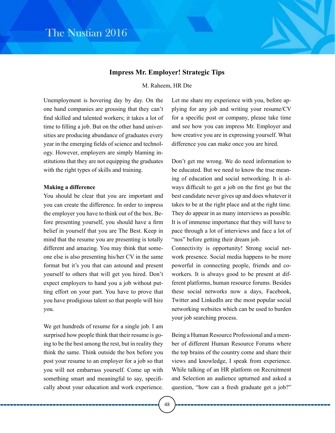

### **Impress Mr. Employer! Strategic Tips**

M. Raheem, HR Dte

Unemployment is hovering day by day. On the one hand companies are grousing that they can't find skilled and talented workers; it takes a lot of time to filling a job. But on the other hand universities are producing abundance of graduates every year in the emerging fields of science and technology. However, employers are simply blaming institutions that they are not equipping the graduates with the right types of skills and training.

#### **Making a difference**

You should be clear that you are important and you can create the difference. In order to impress the employer you have to think out of the box. Before presenting yourself, you should have a firm belief in yourself that you are The Best. Keep in mind that the resume you are presenting is totally different and amazing. You may think that someone else is also presenting his/her CV in the same format but it's you that can astound and present yourself to others that will get you hired. Don't expect employers to hand you a job without putting effort on your part. You have to prove that you have prodigious talent so that people will hire you.

We get hundreds of resume for a single job. I am surprised how people think that their resume is going to be the best among the rest, but in reality they think the same. Think outside the box before you post your resume to an employer for a job so that you will not embarrass yourself. Come up with something smart and meaningful to say, specifically about your education and work experience. Let me share my experience with you, before applying for any job and writing your resume/CV for a specific post or company, please take time and see how you can impress Mr. Employer and how creative you are in expressing yourself. What difference you can make once you are hired.

Don't get me wrong. We do need information to be educated. But we need to know the true meaning of education and social networking. It is always difficult to get a job on the first go but the best candidate never gives up and does whatever it takes to be at the right place and at the right time. They do appear in as many interviews as possible. It is of immense importance that they will have to pace through a lot of interviews and face a lot of "nos" before getting their dream job.

Connectivity is opportunity! Strong social network presence. Social media happens to be more powerful in connecting people, friends and coworkers. It is always good to be present at different platforms, human resource forums. Besides these social networks now a days, Facebook, Twitter and LinkedIn are the most popular social networking websites which can be used to burden your job searching process.

Being a Human Resource Professional and a member of different Human Resource Forums where the top brains of the country come and share their views and knowledge, I speak from experience. While talking of an HR platform on Recruitment and Selection an audience upturned and asked a question, "how can a fresh graduate get a job?"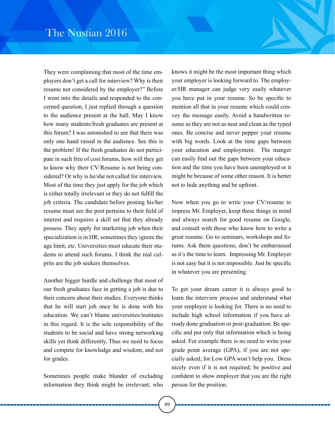They were complaining that most of the time employers don't get a call for interview? Why is their resume not considered by the employer?" Before I went into the details and responded to the concerned question, I just replied through a question to the audience present at the hall. May I know how many students/fresh graduates are present at this forum? I was astonished to see that there was only one hand raised in the audience. See this is the problem! If the fresh graduates do not participate in such free of cost forums, how will they get to know why their CV/Resume is not being considered? Or why is he/she not called for interview. Most of the time they just apply for the job which is either totally irrelevant or they do not fulfill the job criteria. The candidate before posting his/her resume must see the post pertains to their field of interest and requires a skill set that they already possess. They apply for marketing job when their specialization is in HR; sometimes they ignore the age limit, etc. Universities must educate their students to attend such forums. I think the real culprits are the job seekers themselves.

Another bigger hurdle and challenge that most of our fresh graduates face in getting a job is due to their concern about their studies. Everyone thinks that he will start job once he is done with his education. We can't blame universities/institutes in this regard. It is the sole responsibility of the students to be social and have strong networking skills yet think differently. Thus we need to focus and compete for knowledge and wisdom, and not for grades.

Sometimes people make blunder of excluding information they think might be irrelevant; who knows it might be the most important thing which your employer is looking forward to. The employer/HR manager can judge very easily whatever you have put in your resume. So be specific to mention all that in your resume which could convey the message easily. Avoid a handwritten resume as they are not as neat and clean as the typed ones. Be concise and never pepper your resume with big words. Look at the time gaps between your education and employment. The manger can easily find out the gaps between your education and the time you have been unemployed or it might be because of some other reason. It is better not to hide anything and be upfront.

Now when you go to write your CV/resume to impress Mr. Employer, keep these things in mind and always search for good resume on Google, and consult with those who know how to write a great resume. Go to seminars, workshops and forums. Ask them questions, don't be embarrassed as it's the time to learn. Impressing Mr. Employer is not easy but it is not impossible. Just be specific in whatever you are presenting.

To get your dream career it is always good to learn the interview process and understand what your employer is looking for. There is no need to include high school information if you have already done graduation or post-graduation. Be specific and put only that information which is being asked. For example there is no need to write your grade point average (GPA), if you are not specially asked; for Low GPA won't help you. Dress nicely even if it is not required; be positive and confident to show employer that you are the right person for the position.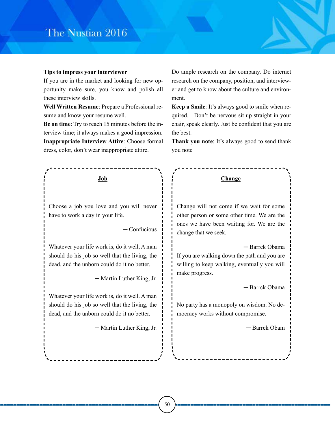#### **Tips to impress your interviewer**

If you are in the market and looking for new opportunity make sure, you know and polish all these interview skills.

**Well Written Resume**: Prepare a Professional resume and know your resume well.

**Be on time**: Try to reach 15 minutes before the interview time; it always makes a good impression. **Inappropriate Interview Attire**: Choose formal dress, color, don't wear inappropriate attire.

Do ample research on the company. Do internet research on the company, position, and interviewer and get to know about the culture and environment.

**Keep a Smile**: It's always good to smile when required. Don't be nervous sit up straight in your chair, speak clearly. Just be confident that you are the best.

**Thank you note**: It's always good to send thank you note

| Job                                                                                                                                                                         | <b>Change</b>                                                                                                                                                |
|-----------------------------------------------------------------------------------------------------------------------------------------------------------------------------|--------------------------------------------------------------------------------------------------------------------------------------------------------------|
| Choose a job you love and you will never<br>have to work a day in your life.<br>$-$ Confucious                                                                              | Change will not come if we wait for some<br>other person or some other time. We are the<br>ones we have been waiting for. We are the<br>change that we seek. |
| Whatever your life work is, do it well, A man<br>should do his job so well that the living, the<br>dead, and the unborn could do it no better.<br>— Martin Luther King, Jr. | - Barrck Obama<br>If you are walking down the path and you are<br>willing to keep walking, eventually you will<br>make progress.                             |
| Whatever your life work is, do it well. A man<br>should do his job so well that the living, the<br>dead, and the unborn could do it no better.                              | - Barrck Obama<br>No party has a monopoly on wisdom. No de-<br>mocracy works without compromise.                                                             |
| — Martin Luther King, Jr.                                                                                                                                                   | - Barrck Obam                                                                                                                                                |

50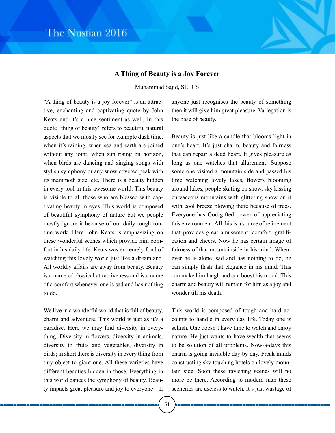

### **A Thing of Beauty is a Joy Forever**

Muhammad Sajid, SEECS

"A thing of beauty is a joy forever" is an attractive, enchanting and captivating quote by John Keats and it's a nice sentiment as well. In this quote "thing of beauty" refers to beautiful natural aspects that we mostly see for example dusk time, when it's raining, when sea and earth are joined without any joint, when sun rising on horizon, when birds are dancing and singing songs with stylish symphony or any snow covered peak with its mammoth size, etc. There is a beauty hidden in every tool in this awesome world. This beauty is visible to all those who are blessed with captivating beauty in eyes. This world is composed of beautiful symphony of nature but we people mostly ignore it because of our daily tough routine work. Here John Keats is emphasizing on these wonderful scenes which provide him comfort in his daily life. Keats was extremely fond of watching this lovely world just like a dreamland. All worldly affairs are away from beauty. Beauty is a name of physical attractiveness and is a name of a comfort whenever one is sad and has nothing to do.

We live in a wonderful world that is full of beauty, charm and adventure. This world is just as it's a paradise. Here we may find diversity in everything. Diversity in flowers, diversity in animals, diversity in fruits and vegetables, diversity in birds; in short there is diversity in every thing from tiny object to giant one. All these varieties have different beauties hidden in those. Everything in this world dances the symphony of beauty. Beauty impacts great pleasure and joy to everyone—If anyone just recognises the beauty of something then it will give him great pleasure. Variegation is the base of beauty.

Beauty is just like a candle that blooms light in one's heart. It's just charm, beauty and fairness that can repair a dead heart. It gives pleasure as long as one watches that allurement. Suppose some one visited a mountain side and passed his time watching lovely lakes, flowers blooming around lakes, people skating on snow, sky kissing curvaceous mountains with glittering snow on it with cool breeze blowing there because of trees. Everyone has God-gifted power of appreciating this environment. All this is a source of refinement that provides great amusement, comfort, gratification and cheers. Now he has certain image of fairness of that mountainside in his mind. Whenever he is alone, sad and has nothing to do, he can simply flash that elegance in his mind. This can make him laugh and can boost his mood. This charm and beauty will remain for him as a joy and wonder till his death.

This world is composed of tough and hard accounts to handle in every day life. Today one is selfish. One doesn't have time to watch and enjoy nature. He just wants to have wealth that seems to be solution of all problems. Now-a-days this charm is going invisible day by day. Freak minds constructing sky touching hotels on lovely mountain side. Soon these ravishing scenes will no more be there. According to modern man these sceneries are useless to watch. It's just wastage of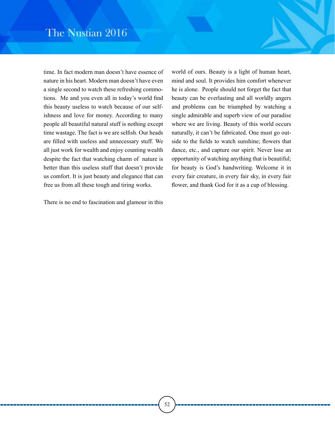time. In fact modern man doesn't have essence of nature in his heart. Modern man doesn't have even a single second to watch these refreshing commotions. Me and you even all in today's world find this beauty useless to watch because of our selfishness and love for money. According to many people all beautiful natural stuff is nothing except time wastage. The fact is we are selfish. Our heads are filled with useless and unnecessary stuff. We all just work for wealth and enjoy counting wealth despite the fact that watching charm of nature is better than this useless stuff that doesn't provide us comfort. It is just beauty and elegance that can free us from all these tough and tiring works.

There is no end to fascination and glamour in this

world of ours. Beauty is a light of human heart, mind and soul. It provides him comfort whenever he is alone. People should not forget the fact that beauty can be everlasting and all worldly angers and problems can be triumphed by watching a single admirable and superb view of our paradise where we are living. Beauty of this world occurs naturally, it can't be fabricated. One must go outside to the fields to watch sunshine; flowers that dance, etc., and capture our spirit. Never lose an opportunity of watching anything that is beautiful; for beauty is God's handwriting. Welcome it in every fair creature, in every fair sky, in every fair flower, and thank God for it as a cup of blessing.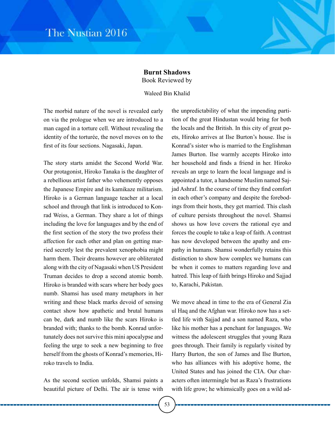

**Burnt Shadows**  Book Reviewed by

Waleed Bin Khalid

The morbid nature of the novel is revealed early on via the prologue when we are introduced to a man caged in a torture cell. Without revealing the identity of the torturée, the novel moves on to the first of its four sections. Nagasaki, Japan.

The story starts amidst the Second World War. Our protagonist, Hiroko Tanaka is the daughter of a rebellious artist father who vehemently opposes the Japanese Empire and its kamikaze militarism. Hiroko is a German language teacher at a local school and through that link is introduced to Konrad Weiss, a German. They share a lot of things including the love for languages and by the end of the first section of the story the two profess their affection for each other and plan on getting married secretly lest the prevalent xenophobia might harm them. Their dreams however are obliterated along with the city of Nagasaki when US President Truman decides to drop a second atomic bomb. Hiroko is branded with scars where her body goes numb. Shamsi has used many metaphors in her writing and these black marks devoid of sensing contact show how apathetic and brutal humans can be, dark and numb like the scars Hiroko is branded with; thanks to the bomb. Konrad unfortunately does not survive this mini apocalypse and feeling the urge to seek a new beginning to free herself from the ghosts of Konrad's memories, Hiroko travels to India.

As the second section unfolds, Shamsi paints a beautiful picture of Delhi. The air is tense with

the unpredictability of what the impending partition of the great Hindustan would bring for both the locals and the British. In this city of great poets, Hiroko arrives at Ilse Burton's house. Ilse is Konrad's sister who is married to the Englishman James Burton. Ilse warmly accepts Hiroko into her household and finds a friend in her. Hiroko reveals an urge to learn the local language and is appointed a tutor, a handsome Muslim named Sajjad Ashraf. In the course of time they find comfort in each other's company and despite the forebodings from their hosts, they get married. This clash of culture persists throughout the novel. Shamsi shows us how love covers the rational eye and forces the couple to take a leap of faith. A contrast has now developed between the apathy and empathy in humans. Shamsi wonderfully retains this distinction to show how complex we humans can be when it comes to matters regarding love and hatred. This leap of faith brings Hiroko and Sajjad to, Karachi, Pakistan.

We move ahead in time to the era of General Zia ul Haq and the Afghan war. Hiroko now has a settled life with Sajjad and a son named Raza, who like his mother has a penchant for languages. We witness the adolescent struggles that young Raza goes through. Their family is regularly visited by Harry Burton, the son of James and Ilse Burton, who has alliances with his adoptive home, the United States and has joined the CIA. Our characters often intermingle but as Raza's frustrations with life grow; he whimsically goes on a wild ad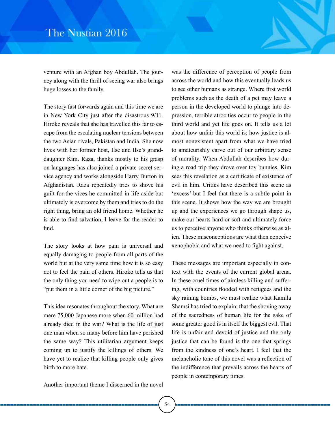venture with an Afghan boy Abdullah. The journey along with the thrill of seeing war also brings huge losses to the family.

The story fast forwards again and this time we are in New York City just after the disastrous 9/11. Hiroko reveals that she has travelled this far to escape from the escalating nuclear tensions between the two Asian rivals, Pakistan and India. She now lives with her former host, Ilse and Ilse's granddaughter Kim. Raza, thanks mostly to his grasp on languages has also joined a private secret service agency and works alongside Harry Burton in Afghanistan. Raza repeatedly tries to shove his guilt for the vices he committed in life aside but ultimately is overcome by them and tries to do the right thing, bring an old friend home. Whether he is able to find salvation, I leave for the reader to find.

The story looks at how pain is universal and equally damaging to people from all parts of the world but at the very same time how it is so easy not to feel the pain of others. Hiroko tells us that the only thing you need to wipe out a people is to "put them in a little corner of the big picture."

This idea resonates throughout the story. What are mere 75,000 Japanese more when 60 million had already died in the war? What is the life of just one man when so many before him have perished the same way? This utilitarian argument keeps coming up to justify the killings of others. We have yet to realize that killing people only gives birth to more hate

Another important theme I discerned in the novel

54

was the difference of perception of people from across the world and how this eventually leads us to see other humans as strange. Where first world problems such as the death of a pet may leave a person in the developed world to plunge into depression, terrible atrocities occur to people in the third world and yet life goes on. It tells us a lot about how unfair this world is; how justice is almost nonexistent apart from what we have tried to amateurishly carve out of our arbitrary sense of morality. When Abdullah describes how during a road trip they drove over toy bunnies, Kim sees this revelation as a certificate of existence of evil in him. Critics have described this scene as 'excess' but I feel that there is a subtle point in this scene. It shows how the way we are brought up and the experiences we go through shape us, make our hearts hard or soft and ultimately force us to perceive anyone who thinks otherwise as alien. These misconceptions are what then conceive xenophobia and what we need to fight against.

These messages are important especially in context with the events of the current global arena. In these cruel times of aimless killing and suffering, with countries flooded with refugees and the sky raining bombs, we must realize what Kamila Shamsi has tried to explain; that the shoving away of the sacredness of human life for the sake of some greater good is in itself the biggest evil. That life is unfair and devoid of justice and the only justice that can be found is the one that springs from the kindness of one's heart. I feel that the melancholic tone of this novel was a reflection of the indifference that prevails across the hearts of people in contemporary times.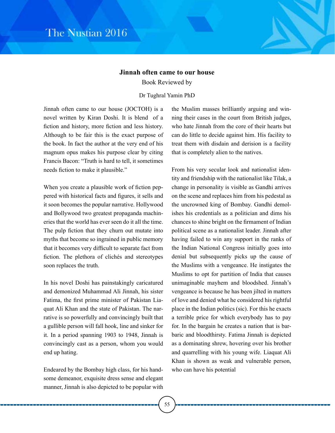

### **Jinnah often came to our house**

Book Reviewed by

Dr Tughral Yamin PhD

Jinnah often came to our house (JOCTOH) is a novel written by Kiran Doshi. It is blend of a fiction and history, more fiction and less history. Although to be fair this is the exact purpose of the book. In fact the author at the very end of his magnum opus makes his purpose clear by citing Francis Bacon: "Truth is hard to tell, it sometimes needs fiction to make it plausible."

When you create a plausible work of fiction peppered with historical facts and figures, it sells and it soon becomes the popular narrative. Hollywood and Bollywood two greatest propaganda machineries that the world has ever seen do it all the time. The pulp fiction that they churn out mutate into myths that become so ingrained in public memory that it becomes very difficult to separate fact from fiction. The plethora of clichés and stereotypes soon replaces the truth.

In his novel Doshi has painstakingly caricatured and demonized Muhammad Ali Jinnah, his sister Fatima, the first prime minister of Pakistan Liaquat Ali Khan and the state of Pakistan. The narrative is so powerfully and convincingly built that a gullible person will fall hook, line and sinker for it. In a period spanning 1903 to 1948, Jinnah is convincingly cast as a person, whom you would end up hating.

Endeared by the Bombay high class, for his handsome demeanor, exquisite dress sense and elegant manner, Jinnah is also depicted to be popular with the Muslim masses brilliantly arguing and winning their cases in the court from British judges, who hate Jinnah from the core of their hearts but can do little to decide against him. His facility to treat them with disdain and derision is a facility that is completely alien to the natives.

From his very secular look and nationalist identity and friendship with the nationalist like Tilak, a change in personality is visible as Gandhi arrives on the scene and replaces him from his pedestal as the uncrowned king of Bombay. Gandhi demolishes his credentials as a politician and dims his chances to shine bright on the firmament of Indian political scene as a nationalist leader. Jinnah after having failed to win any support in the ranks of the Indian National Congress initially goes into denial but subsequently picks up the cause of the Muslims with a vengeance. He instigates the Muslims to opt for partition of India that causes unimaginable mayhem and bloodshed. Jinnah's vengeance is because he has been jilted in matters of love and denied what he considered his rightful place in the Indian politics (sic). For this he exacts a terrible price for which everybody has to pay for. In the bargain he creates a nation that is barbaric and bloodthirsty. Fatima Jinnah is depicted as a dominating shrew, hovering over his brother and quarrelling with his young wife. Liaquat Ali Khan is shown as weak and vulnerable person, who can have his potential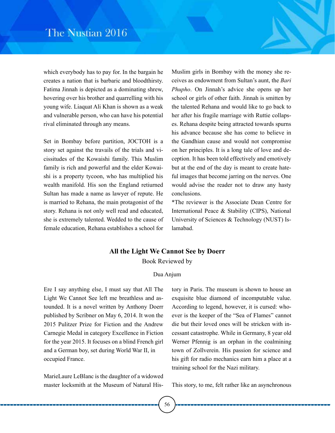which everybody has to pay for. In the bargain he creates a nation that is barbaric and bloodthirsty. Fatima Jinnah is depicted as a dominating shrew, hovering over his brother and quarrelling with his young wife. Liaquat Ali Khan is shown as a weak and vulnerable person, who can have his potential rival eliminated through any means.

Set in Bombay before partition, JOCTOH is a story set against the travails of the trials and vicissitudes of the Kowaishi family. This Muslim family is rich and powerful and the elder Kowaishi is a property tycoon, who has multiplied his wealth manifold. His son the England retiurned Sultan has made a name as lawyer of repute. He is married to Rehana, the main protagonist of the story. Rehana is not only well read and educated, she is extremely talented. Wedded to the cause of female education, Rehana establishes a school for

Muslim girls in Bombay with the money she receives as endowment from Sultan's aunt, the *Bari Phupho*. On Jinnah's advice she opens up her school or girls of other faith. Jinnah is smitten by the talented Rehana and would like to go back to her after his fragile marriage with Ruttie collapses. Rehana despite being attracted towards spurns his advance because she has come to believe in the Gandhian cause and would not compromise on her principles. It is a long tale of love and deception. It has been told effectively and emotively but at the end of the day is meant to create hateful images that become jarring on the nerves. One would advise the reader not to draw any hasty conclusions.

\*The reviewer is the Associate Dean Centre for International Peace & Stability (CIPS), National University of Sciences & Technology (NUST) Islamabad.

### **All the Light We Cannot See by Doerr**

Book Reviewed by

#### Dua Anjum

Ere I say anything else, I must say that All The Light We Cannot See left me breathless and astounded. It is a novel written by Anthony Doerr published by Scribner on May 6, 2014. It won the 2015 Pulitzer Prize for Fiction and the Andrew Carnegie Medal in category Excellence in Fiction for the year 2015. It focuses on a blind French girl and a German boy, set during World War II, in occupied France.

MarieLaure LeBlanc is the daughter of a widowed master locksmith at the Museum of Natural His-

tory in Paris. The museum is shown to house an exquisite blue diamond of incomputable value. According to legend, however, it is cursed: whoever is the keeper of the "Sea of Flames" cannot die but their loved ones will be stricken with incessant catastrophe. While in Germany, 8 year old Werner Pfennig is an orphan in the coalmining town of Zollverein. His passion for science and his gift for radio mechanics earn him a place at a training school for the Nazi military.

This story, to me, felt rather like an asynchronous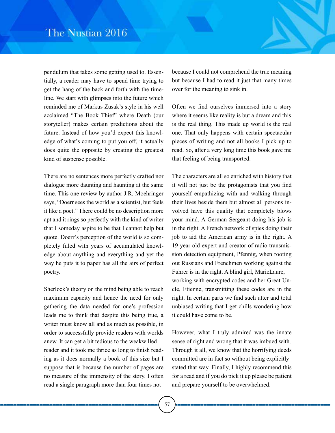pendulum that takes some getting used to. Essentially, a reader may have to spend time trying to get the hang of the back and forth with the timeline. We start with glimpses into the future which reminded me of Markus Zusak's style in his well acclaimed "The Book Thief" where Death (our storyteller) makes certain predictions about the future. Instead of how you'd expect this knowledge of what's coming to put you off, it actually does quite the opposite by creating the greatest kind of suspense possible.

There are no sentences more perfectly crafted nor dialogue more daunting and haunting at the same time. This one review by author J.R. Moehringer says, "Doerr sees the world as a scientist, but feels it like a poet." There could be no description more apt and it rings so perfectly with the kind of writer that I someday aspire to be that I cannot help but quote. Doerr's perception of the world is so completely filled with years of accumulated knowledge about anything and everything and yet the way he puts it to paper has all the airs of perfect poetry.

Sherlock's theory on the mind being able to reach maximum capacity and hence the need for only gathering the data needed for one's profession leads me to think that despite this being true, a writer must know all and as much as possible, in order to successfully provide readers with worlds anew. It can get a bit tedious to the weakwilled reader and it took me thrice as long to finish reading as it does normally a book of this size but I suppose that is because the number of pages are no measure of the immensity of the story. I often read a single paragraph more than four times not

because I could not comprehend the true meaning but because I had to read it just that many times over for the meaning to sink in.

Often we find ourselves immersed into a story where it seems like reality is but a dream and this is the real thing. This made up world is the real one. That only happens with certain spectacular pieces of writing and not all books I pick up to read. So, after a very long time this book gave me that feeling of being transported.

The characters are all so enriched with history that it will not just be the protagonists that you find yourself empathizing with and walking through their lives beside them but almost all persons involved have this quality that completely blows your mind. A German Sergeant doing his job is in the right. A French network of spies doing their job to aid the American army is in the right. A 19 year old expert and creator of radio transmission detection equipment, Pfennig, when rooting out Russians and Frenchmen working against the Fuhrer is in the right. A blind girl, MarieLaure, working with encrypted codes and her Great Uncle, Etienne, transmitting these codes are in the right. In certain parts we find such utter and total unbiased writing that I get chills wondering how it could have come to be.

However, what I truly admired was the innate sense of right and wrong that it was imbued with. Through it all, we know that the horrifying deeds committed are in fact so without being explicitly stated that way. Finally, I highly recommend this for a read and if you do pick it up please be patient and prepare yourself to be overwhelmed.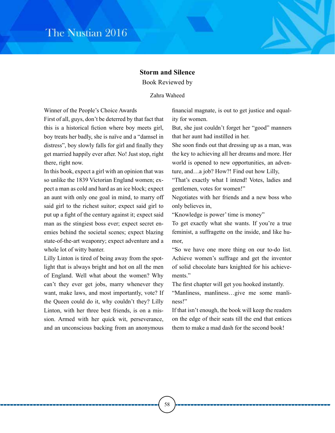### **Storm and Silence**

Book Reviewed by

#### Zahra Waheed

58

Winner of the People's Choice Awards

First of all, guys, don't be deterred by that fact that this is a historical fiction where boy meets girl, boy treats her badly, she is naïve and a "damsel in distress", boy slowly falls for girl and finally they get married happily ever after. No! Just stop, right there, right now.

In this book, expect a girl with an opinion that was so unlike the 1839 Victorian England women; expect a man as cold and hard as an ice block; expect an aunt with only one goal in mind, to marry off said girl to the richest suitor; expect said girl to put up a fight of the century against it; expect said man as the stingiest boss ever; expect secret enemies behind the societal scenes; expect blazing state-of-the-art weaponry; expect adventure and a whole lot of witty banter.

Lilly Linton is tired of being away from the spotlight that is always bright and hot on all the men of England. Well what about the women? Why can't they ever get jobs, marry whenever they want, make laws, and most importantly, vote? If the Queen could do it, why couldn't they? Lilly Linton, with her three best friends, is on a mission. Armed with her quick wit, perseverance, and an unconscious backing from an anonymous financial magnate, is out to get justice and equality for women.

But, she just couldn't forget her "good" manners that her aunt had instilled in her.

She soon finds out that dressing up as a man, was the key to achieving all her dreams and more. Her world is opened to new opportunities, an adventure, and…a job? How?! Find out how Lilly,

"That's exactly what I intend! Votes, ladies and gentlemen, votes for women!"

Negotiates with her friends and a new boss who only believes in,

"Knowledge is power' time is money"

To get exactly what she wants. If you're a true feminist, a suffragette on the inside, and like humor,

"So we have one more thing on our to-do list. Achieve women's suffrage and get the inventor of solid chocolate bars knighted for his achievements."

The first chapter will get you hooked instantly.

"Manliness, manliness…give me some manliness!"

If that isn't enough, the book will keep the readers on the edge of their seats till the end that entices them to make a mad dash for the second book!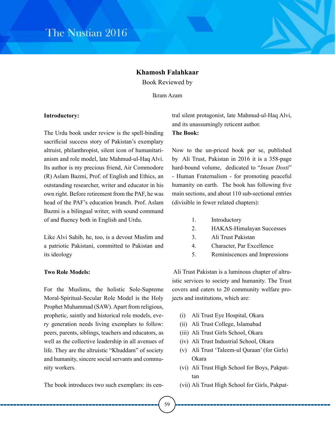### **Khamosh Falahkaar**

Book Reviewed by

Ikram Azam

#### **Introductory:**

The Urdu book under review is the spell-binding sacrificial success story of Pakistan's exemplary altruist, philanthropist, silent icon of humanitarianism and role model, late Mahmud-ul-Haq Alvi. Its author is my precious friend, Air Commodore (R) Aslam Bazmi, Prof. of English and Ethics, an outstanding researcher, writer and educator in his own right. Before retirement from the PAF, he was head of the PAF's education branch. Prof. Aslam Bazmi is a bilingual writer, with sound command of and fluency both in English and Urdu.

Like Alvi Sahib, he, too, is a devout Muslim and a patriotic Pakistani, committed to Pakistan and its ideology

#### **Two Role Models:**

For the Muslims, the holistic Sole-Supreme Moral-Spiritual-Secular Role Model is the Holy Prophet Muhammad (SAW). Apart from religious, prophetic, saintly and historical role models, every generation needs living exemplars to follow: peers, parents, siblings, teachers and educators, as well as the collective leadership in all avenues of life. They are the altruistic "Khuddam" of society and humanity, sincere social servants and community workers.

The book introduces two such exemplars: its cen-

tral silent protagonist, late Mahmud-ul-Haq Alvi, and its unassumingly reticent author. **The Book:**

Now to the un-priced book per se, published by Ali Trust, Pakistan in 2016 it is a 358-page hard-bound volume, dedicated to "*Insan Dosti*" - Human Fraternalism - for promoting peaceful humanity on earth. The book has following five main sections, and about 110 sub-sectional entries (divisible in fewer related chapters):

- 1. Introductory
- 2. HAKAS-Himalayan Successes
- 3. Ali Trust Pakistan
- 4. Character, Par Excellence
- 5. Reminiscences and Impressions

 Ali Trust Pakistan is a luminous chapter of altruistic services to society and humanity. The Trust covers and caters to 20 community welfare projects and institutions, which are:

- (i) Ali Trust Eye Hospital, Okara
- (ii) Ali Trust College, Islamabad
- (iii) Ali Trust Girls School, Okara
- (iv) Ali Trust Industrial School, Okara
- (v) Ali Trust 'Taleem-ul Quraan' (for Girls) Okara
- (vi) Ali Trust High School for Boys, Pakpat tan
- (vii) Ali Trust High School for Girls, Pakpat-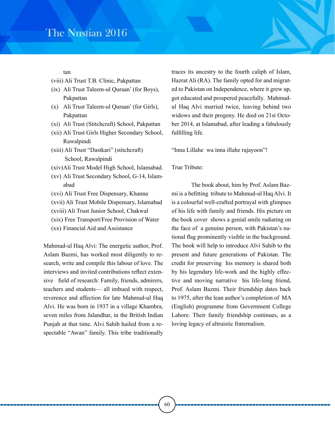### tan

- (viii) Ali Trust T.B. Clinic, Pakpattan
- (ix) Ali Trust Taleem-ul Quraan' (for Boys), Pakpattan
- (x) Ali Trust Taleem-ul Quraan' (for Girls), Pakpattan
- (xi) Ali Trust (Stitchcraft) School, Pakpattan
- (xii) Ali Trust Girls Higher Secondary School, Rawalpindi
- (xiii) Ali Trust "Dastkari" (stitchcraft) School, Rawalpindi
- (xiv)Ali Trust Model High School, Islamabad.
- (xv) Ali Trust Secondary School, G-14, Islam abad
- (xvi) Ali Trust Free Dispensary, Khanna
- (xvii) Ali Trust Mobile Dispensary, Islamabad
- (xviii) Ali Trust Junior School, Chakwal
- (xix) Free Transport/Free Provision of Water
- (xx) Financial Aid and Assistance

Mahmud-ul Haq Alvi: The energetic author, Prof. Aslam Bazmi, has worked most diligently to research, write and compile this labour of love. The interviews and invited contributions reflect extensive field of research: Family, friends, admirers, teachers and students— all imbued with respect, reverence and affection for late Mahmud-ul Haq Alvi. He was born in 1937 in a village Khambra, seven miles from Jalandhar, in the British Indian Punjab at that time. Alvi Sahib hailed from a respectable "Awan" family. This tribe traditionally

traces its ancestry to the fourth caliph of Islam, Hazrat Ali (RA). The family opted for and migrated to Pakistan on Independence, where it grew up, got educated and prospered peacefully. Mahmudul Haq Alvi married twice, leaving behind two widows and their progeny. He died on 21st October 2014, at Islamabad, after leading a fabulously fulfilling life.

"Inna Lillahe wa inna illahe rajayoon"!

#### True Tribute:

The book about, him by Prof. Aslam Bazmi is a befitting tribute to Mahmud-ul Haq Alvi. It is a colourful well-crafted portrayal with glimpses of his life with family and friends. His picture on the book cover shows a genial smile radiating on the face of a genuine person, with Pakistan's national flag prominently visible in the background. The book will help to introduce Alvi Sahib to the present and future generations of Pakistan. The credit for preserving his memory is shared both by his legendary life-work and the highly effective and moving narrative his life-long friend, Prof. Aslam Bazmi. Their friendship dates back to 1975, after the lean author's completion of MA (English) programme from Government College Lahore. Their family friendship continues, as a loving legacy of altruistic fraternalism.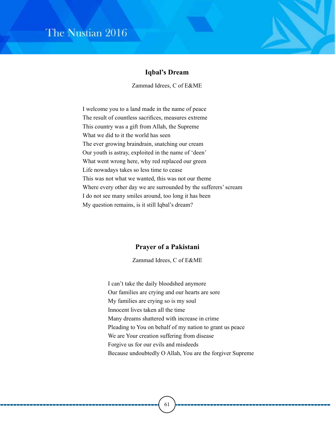### **Iqbal's Dream**

Zammad Idrees, C of E&ME

I welcome you to a land made in the name of peace The result of countless sacrifices, measures extreme This country was a gift from Allah, the Supreme What we did to it the world has seen The ever growing braindrain, snatching our cream Our youth is astray, exploited in the name of 'deen' What went wrong here, why red replaced our green Life nowadays takes so less time to cease This was not what we wanted, this was not our theme Where every other day we are surrounded by the sufferers' scream I do not see many smiles around, too long it has been My question remains, is it still Iqbal's dream?

### **Prayer of a Pakistani**

Zammad Idrees, C of E&ME

61

I can't take the daily bloodshed anymore Our families are crying and our hearts are sore My families are crying so is my soul Innocent lives taken all the time Many dreams shattered with increase in crime Pleading to You on behalf of my nation to grant us peace We are Your creation suffering from disease Forgive us for our evils and misdeeds Because undoubtedly O Allah, You are the forgiver Supreme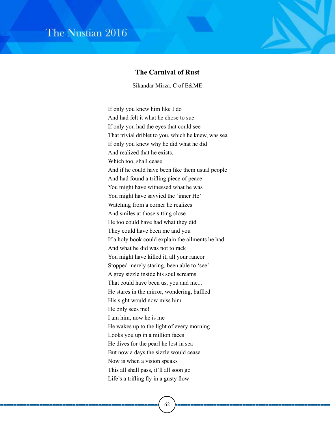### **The Carnival of Rust**

Sikandar Mirza, C of E&ME

If only you knew him like I do And had felt it what he chose to sue If only you had the eyes that could see That trivial driblet to you, which he knew, was sea If only you knew why he did what he did And realized that he exists, Which too, shall cease And if he could have been like them usual people And had found a trifling piece of peace You might have witnessed what he was You might have savvied the 'inner He' Watching from a corner he realizes And smiles at those sitting close He too could have had what they did They could have been me and you If a holy book could explain the ailments he had And what he did was not to rack You might have killed it, all your rancor Stopped merely staring, been able to 'see' A grey sizzle inside his soul screams That could have been us, you and me... He stares in the mirror, wondering, baffled His sight would now miss him He only sees me! I am him, now he is me He wakes up to the light of every morning Looks you up in a million faces He dives for the pearl he lost in sea But now a days the sizzle would cease Now is when a vision speaks This all shall pass, it'll all soon go Life's a trifling fly in a gusty flow

62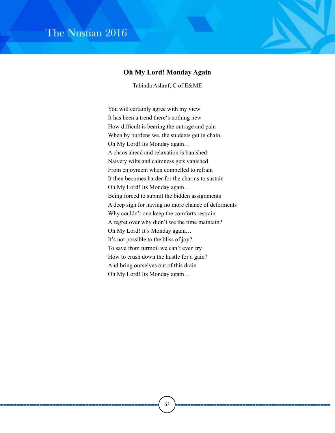### **Oh My Lord! Monday Again**

Tabinda Ashraf, C of E&ME

You will certainly agree with my view It has been a trend there's nothing new How difficult is bearing the outrage and pain When by burdens we, the students get in chain Oh My Lord! Its Monday again… A chaos ahead and relaxation is banished Naivety wilts and calmness gets vanished From enjoyment when compelled to refrain It then becomes harder for the charms to sustain Oh My Lord! Its Monday again… Being forced to submit the bidden assignments A deep sigh for having no more chance of deferments Why couldn't one keep the comforts restrain A regret over why didn't we the time maintain? Oh My Lord! It's Monday again… It's not possible to the bliss of joy? To save from turmoil we can't even try How to crush down the hustle for a gain? And bring ourselves out of this drain Oh My Lord! Its Monday again…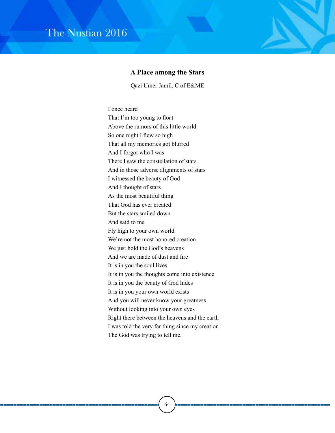### **A Place among the Stars**

Qazi Umer Jamil, C of E&ME

I once heard That I'm too young to float Above the rumors of this little world So one night I flew so high That all my memories got blurred And I forgot who I was There I saw the constellation of stars And in those adverse alignments of stars I witnessed the beauty of God And I thought of stars As the most beautiful thing That God has ever created But the stars smiled down And said to me Fly high to your own world We're not the most honored creation We just hold the God's heavens And we are made of dust and fire It is in you the soul lives It is in you the thoughts come into existence It is in you the beauty of God hides It is in you your own world exists And you will never know your greatness Without looking into your own eyes Right there between the heavens and the earth I was told the very far thing since my creation The God was trying to tell me.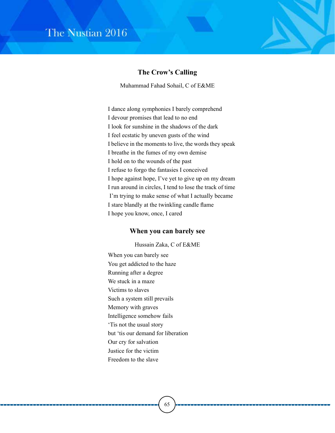### **The Crow's Calling**

Muhammad Fahad Sohail, C of E&ME

I dance along symphonies I barely comprehend I devour promises that lead to no end I look for sunshine in the shadows of the dark I feel ecstatic by uneven gusts of the wind I believe in the moments to live, the words they speak I breathe in the fumes of my own demise I hold on to the wounds of the past I refuse to forgo the fantasies I conceived I hope against hope, I've yet to give up on my dream I run around in circles, I tend to lose the track of time I'm trying to make sense of what I actually became I stare blandly at the twinkling candle flame I hope you know, once, I cared

#### **When you can barely see**

Hussain Zaka, C of E&ME When you can barely see You get addicted to the haze Running after a degree We stuck in a maze Victims to slaves Such a system still prevails Memory with graves Intelligence somehow fails 'Tis not the usual story but 'tis our demand for liberation Our cry for salvation Justice for the victim Freedom to the slave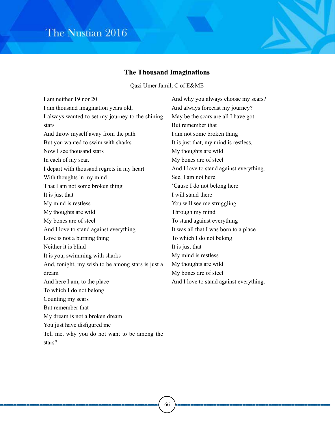# The Nustian  $2016\,$

### **The Thousand Imaginations**

Qazi Umer Jamil, C of E&ME

| I am neither 19 nor 20                            | And why you always choose my scars?     |
|---------------------------------------------------|-----------------------------------------|
| I am thousand imagination years old,              | And always forecast my journey?         |
| I always wanted to set my journey to the shining  | May be the scars are all I have got     |
| stars                                             | But remember that                       |
| And throw myself away from the path               | I am not some broken thing              |
| But you wanted to swim with sharks                | It is just that, my mind is restless,   |
| Now I see thousand stars                          | My thoughts are wild                    |
| In each of my scar.                               | My bones are of steel                   |
| I depart with thousand regrets in my heart        | And I love to stand against everything. |
| With thoughts in my mind                          | See, I am not here                      |
| That I am not some broken thing                   | 'Cause I do not belong here             |
| It is just that                                   | I will stand there                      |
| My mind is restless                               | You will see me struggling              |
| My thoughts are wild                              | Through my mind                         |
| My bones are of steel                             | To stand against everything             |
| And I love to stand against everything            | It was all that I was born to a place   |
| Love is not a burning thing                       | To which I do not belong                |
| Neither it is blind                               | It is just that                         |
| It is you, swimming with sharks                   | My mind is restless                     |
| And, tonight, my wish to be among stars is just a | My thoughts are wild                    |
| dream                                             | My bones are of steel                   |
| And here I am, to the place                       | And I love to stand against everything. |
| To which I do not belong                          |                                         |
| Counting my scars                                 |                                         |
| But remember that                                 |                                         |
| My dream is not a broken dream                    |                                         |
| You just have disfigured me                       |                                         |
| Tell me, why you do not want to be among the      |                                         |
| stars?                                            |                                         |

 $\bullet$   $\bullet$   $\bullet$   $\bullet$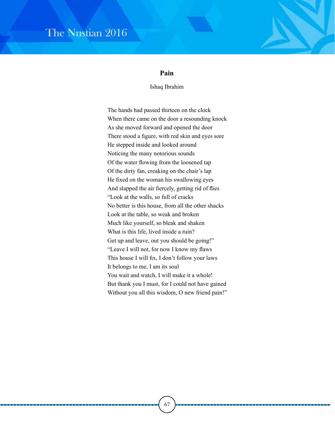### **Pain**

#### Ishaq Ibrahim

The hands had passed thirteen on the clock When there came on the door a resounding knock As she moved forward and opened the door There stood a figure, with red skin and eyes sore He stepped inside and looked around Noticing the many notorious sounds Of the water flowing from the loosened tap Of the dirty fan, creaking on the chair's lap He fixed on the woman his swallowing eyes And slapped the air fiercely, getting rid of flies "Look at the walls, so full of cracks No better is this house, from all the other shacks Look at the table, so weak and broken Much like yourself, so bleak and shaken What is this life, lived inside a ruin? Get up and leave, out you should be going!" "Leave I will not, for now I know my flaws This house I will fix, I don't follow your laws It belongs to me, I am its soul You wait and watch, I will make it a whole! But thank you I must, for I could not have gained Without you all this wisdom, O new friend pain!"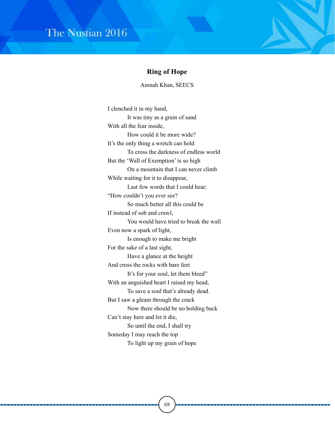### **Ring of Hope**

Amnah Khan, SEECS

I clenched it in my hand, It was tiny as a grain of sand With all the fear inside, How could it be more wide? It's the only thing a wretch can hold To cross the darkness of endless world But the 'Wall of Exemption' is so high On a mountain that I can never climb While waiting for it to disappear, Last few words that I could hear; "How couldn't you ever see? So much better all this could be If instead of sob and crawl, You would have tried to break the wall Even now a spark of light, Is enough to make me bright For the sake of a last sight, Have a glance at the height And cross the rocks with bare feet It's for your soul, let them bleed" With an anguished heart I raised my head, To save a soul that's already dead. But I saw a gleam through the crack Now there should be no holding back Can't stay here and let it die, So until the end, I shall try Someday I may reach the top To light up my grain of hope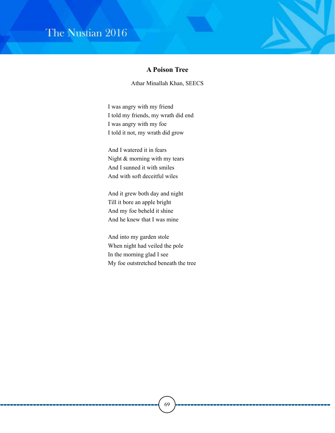### **A Poison Tree**

Athar Minallah Khan, SEECS

I was angry with my friend I told my friends, my wrath did end I was angry with my foe I told it not, my wrath did grow

And I watered it in fears Night & morning with my tears And I sunned it with smiles And with soft deceitful wiles

And it grew both day and night Till it bore an apple bright And my foe beheld it shine And he knew that I was mine

And into my garden stole When night had veiled the pole In the morning glad I see My foe outstretched beneath the tree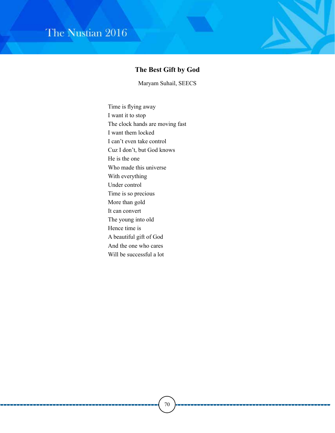### **The Best Gift by God**

Maryam Suhail, SEECS

Time is flying away I want it to stop The clock hands are moving fast I want them locked I can't even take control Cuz I don't, but God knows He is the one Who made this universe With everything Under control Time is so precious More than gold It can convert The young into old Hence time is A beautiful gift of God And the one who cares Will be successful a lot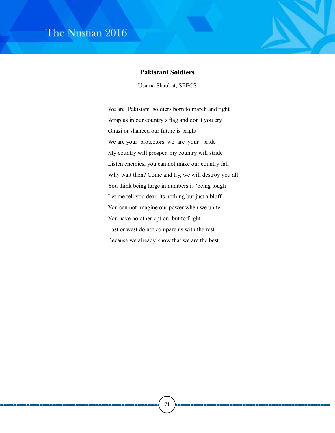

### **Pakistani Soldiers**

Usama Shaukat, SEECS

We are Pakistani soldiers born to march and fight Wrap us in our country's flag and don't you cry Ghazi or shaheed our future is bright We are your protectors, we are your pride My country will prosper, my country will stride Listen enemies, you can not make our country fall Why wait then? Come and try, we will destroy you all You think being large in numbers is 'being tough Let me tell you dear, its nothing but just a bluff You can not imagine our power when we unite You have no other option but to fright East or west do not compare us with the rest Because we already know that we are the best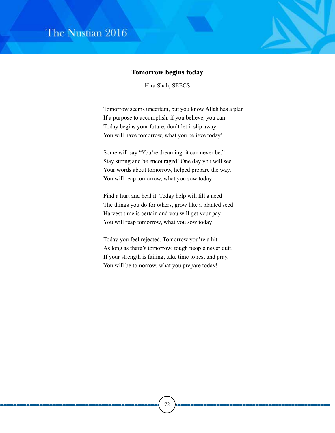#### **Tomorrow begins today**

Hira Shah, SEECS

Tomorrow seems uncertain, but you know Allah has a plan If a purpose to accomplish. if you believe, you can Today begins your future, don't let it slip away You will have tomorrow, what you believe today!

Some will say "You're dreaming. it can never be." Stay strong and be encouraged! One day you will see Your words about tomorrow, helped prepare the way. You will reap tomorrow, what you sow today!

Find a hurt and heal it. Today help will fill a need The things you do for others, grow like a planted seed Harvest time is certain and you will get your pay You will reap tomorrow, what you sow today!

Today you feel rejected. Tomorrow you're a hit. As long as there's tomorrow, tough people never quit. If your strength is failing, take time to rest and pray. You will be tomorrow, what you prepare today!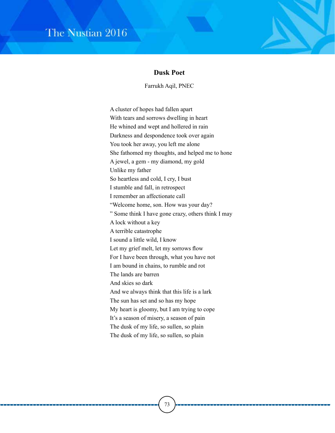## **Dusk Poet**

Farrukh Aqil, PNEC

A cluster of hopes had fallen apart With tears and sorrows dwelling in heart He whined and wept and hollered in rain Darkness and despondence took over again You took her away, you left me alone She fathomed my thoughts, and helped me to hone A jewel, a gem - my diamond, my gold Unlike my father So heartless and cold, I cry, I bust I stumble and fall, in retrospect I remember an affectionate call "Welcome home, son. How was your day? " Some think I have gone crazy, others think I may A lock without a key A terrible catastrophe I sound a little wild, I know Let my grief melt, let my sorrows flow For I have been through, what you have not I am bound in chains, to rumble and rot The lands are barren And skies so dark And we always think that this life is a lark The sun has set and so has my hope My heart is gloomy, but I am trying to cope It's a season of misery, a season of pain The dusk of my life, so sullen, so plain The dusk of my life, so sullen, so plain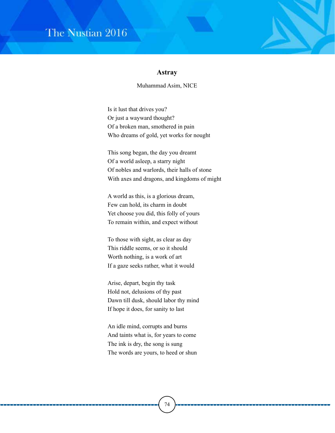## **Astray**

Muhammad Asim, NICE

Is it lust that drives you? Or just a wayward thought? Of a broken man, smothered in pain Who dreams of gold, yet works for nought

This song began, the day you dreamt Of a world asleep, a starry night Of nobles and warlords, their halls of stone With axes and dragons, and kingdoms of might

A world as this, is a glorious dream, Few can hold, its charm in doubt Yet choose you did, this folly of yours To remain within, and expect without

To those with sight, as clear as day This riddle seems, or so it should Worth nothing, is a work of art If a gaze seeks rather, what it would

Arise, depart, begin thy task Hold not, delusions of thy past Dawn till dusk, should labor thy mind If hope it does, for sanity to last

An idle mind, corrupts and burns And taints what is, for years to come The ink is dry, the song is sung The words are yours, to heed or shun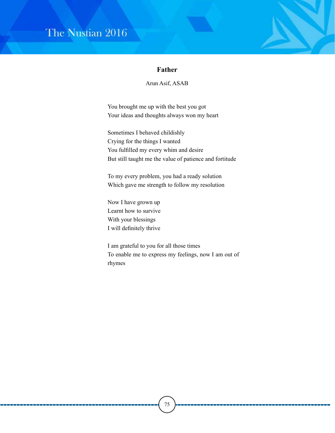## **Father**

Arun Asif, ASAB

You brought me up with the best you got Your ideas and thoughts always won my heart

Sometimes I behaved childishly Crying for the things I wanted You fulfilled my every whim and desire But still taught me the value of patience and fortitude

To my every problem, you had a ready solution Which gave me strength to follow my resolution

Now I have grown up Learnt how to survive With your blessings I will definitely thrive

I am grateful to you for all those times To enable me to express my feelings, now I am out of rhymes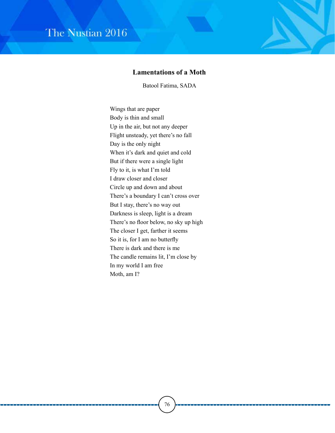## **Lamentations of a Moth**

Batool Fatima, SADA

Wings that are paper Body is thin and small Up in the air, but not any deeper Flight unsteady, yet there's no fall Day is the only night When it's dark and quiet and cold But if there were a single light Fly to it, is what I'm told I draw closer and closer Circle up and down and about There's a boundary I can't cross over But I stay, there's no way out Darkness is sleep, light is a dream There's no floor below, no sky up high The closer I get, farther it seems So it is, for I am no butterfly There is dark and there is me The candle remains lit, I'm close by In my world I am free Moth, am I?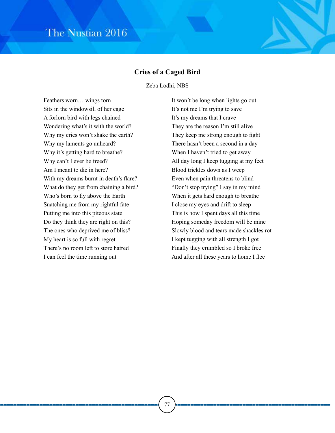## **Cries of a Caged Bird**

Zeba Lodhi, NBS

Feathers worn… wings torn Sits in the windowsill of her cage A forlorn bird with legs chained Wondering what's it with the world? Why my cries won't shake the earth? Why my laments go unheard? Why it's getting hard to breathe? Why can't I ever be freed? Am I meant to die in here? With my dreams burnt in death's flare? What do they get from chaining a bird? Who's born to fly above the Earth Snatching me from my rightful fate Putting me into this piteous state Do they think they are right on this? The ones who deprived me of bliss? My heart is so full with regret There's no room left to store hatred I can feel the time running out

It won't be long when lights go out It's not me I'm trying to save It's my dreams that I crave They are the reason I'm still alive They keep me strong enough to fight There hasn't been a second in a day When I haven't tried to get away All day long I keep tugging at my feet Blood trickles down as I weep Even when pain threatens to blind "Don't stop trying" I say in my mind When it gets hard enough to breathe I close my eyes and drift to sleep This is how I spent days all this time Hoping someday freedom will be mine Slowly blood and tears made shackles rot I kept tugging with all strength I got Finally they crumbled so I broke free And after all these years to home I flee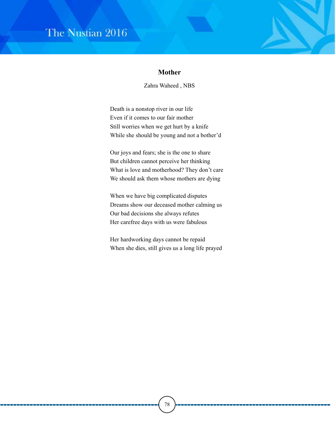## **Mother**

Zahra Waheed , NBS

Death is a nonstop river in our life Even if it comes to our fair mother Still worries when we get hurt by a knife While she should be young and not a bother'd

Our joys and fears; she is the one to share But children cannot perceive her thinking What is love and motherhood? They don't care We should ask them whose mothers are dying

When we have big complicated disputes Dreams show our deceased mother calming us Our bad decisions she always refutes Her carefree days with us were fabulous

Her hardworking days cannot be repaid When she dies, still gives us a long life prayed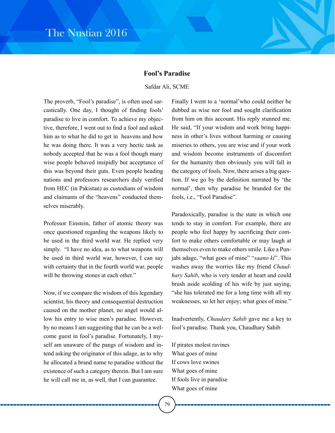

## **Fool's Paradise**

## Safdar Ali, SCME

The proverb, "Fool's paradise", is often used sarcastically. One day, I thought of finding fools' paradise to live in comfort. To achieve my objective, therefore, I went out to find a fool and asked him as to what he did to get in heavens and how he was doing there. It was a very hectic task as nobody accepted that he was a fool though many wise people behaved insipidly but acceptance of this was beyond their guts. Even people heading nations and professors researchers duly verified from HEC (in Pakistan) as custodians of wisdom and claimants of the "heavens" conducted themselves miserably.

Professor Einstein, father of atomic theory was once questioned regarding the weapons likely to be used in the third world war. He replied very simply. "I have no idea, as to what weapons will be used in third world war, however, I can say with certainty that in the fourth world war, people will be throwing stones at each other."

Now, if we compare the wisdom of this legendary scientist, his theory and consequential destruction caused on the mother planet, no angel would allow his entry to wise men's paradise. However, by no means I am suggesting that he can be a welcome guest in fool's paradise. Fortunately, I myself am unaware of the pangs of wisdom and intend asking the originator of this adage, as to why he allocated a brand name to paradise without the existence of such a category therein. But I am sure he will call me in, as well, that I can guarantee.

Finally I went to a 'normal'who could neither be dubbed as wise nor fool and sought clarification from him on this account. His reply stunned me. He said, "If your wisdom and work bring happiness in other's lives without harming or causing miseries to others, you are wise and if your work and wisdom become instruments of discomfort for the humanity then obviously you will fall in the category of fools. Now, there arises a big question. If we go by the definition narrated by 'the normal', then why paradise be branded for the fools, i.e., "Fool Paradise".

Paradoxically, paradise is the state in which one tends to stay in comfort. For example, there are people who feel happy by sacrificing their comfort to make others comfortable or may laugh at themselves even to make others smile. Like a Punjabi adage, "what goes of mine" "*saano ki*". This washes away the worries like my friend *Chaudhary Sahib*, who is very tender at heart and could brush aside scolding of his wife by just saying, "she has tolerated me for a long time with all my weaknesses, so let her enjoy; what goes of mine."

Inadvertently, *Chaudary Sahib* gave me a key to fool's paradise. Thank you, Chaudhary Sahib

If pirates molest ravines What goes of mine If cows love swines What goes of mine If fools live in paradise What goes of mine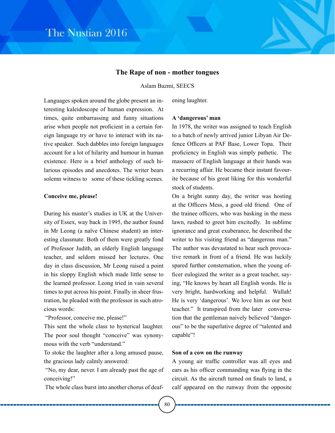## **The Rape of non - mother tongues**

### Aslam Bazmi, SEECS

Languages spoken around the globe present an interesting kaleidoscope of human expression. At times, quite embarrassing and funny situations arise when people not proficient in a certain foreign language try or have to interact with its native speaker. Such dabbles into foreign languages account for a lot of hilarity and humour in human existence. Here is a brief anthology of such hilarious episodes and anecdotes. The writer bears solemn witness to some of these tickling scenes.

#### **Conceive me, please!**

During his master's studies in UK at the University of Essex, way back in 1995, the author found in Mr Leong (a naïve Chinese student) an interesting classmate. Both of them were greatly fond of Professor Judith, an elderly English language teacher, and seldom missed her lectures. One day in class discussion, Mr Leong raised a point in his sloppy English which made little sense to the learned professor. Leong tried in vain several times to put across his point. Finally in sheer frustration, he pleaded with the professor in such atrocious words:

"Professor, conceive me, please!"

This sent the whole class to hysterical laughter. The poor soul thought "conceive" was synonymous with the verb "understand."

To stoke the laughter after a long amused pause, the gracious lady calmly answered:

 "No, my dear, never. I am already past the age of conceiving!"

The whole class burst into another chorus of deaf-

ening laughter.

### **A 'dangerous' man**

In 1978, the writer was assigned to teach English to a batch of newly arrived junior Libyan Air Defence Officers at PAF Base, Lower Topa. Their proficiency in English was simply pathetic. The massacre of English language at their hands was a recurring affair. He became their instant favourite because of his great liking for this wonderful stock of students.

On a bright sunny day, the writer was hosting at the Officers Mess, a good old friend. One of the trainee officers, who was basking in the mess lawn, rushed to greet him excitedly. In sublime ignorance and great exuberance, he described the writer to his visiting friend as "dangerous man." The author was devastated to hear such provocative remark in front of a friend. He was luckily spared further consternation, when the young officer eulogized the writer as a great teacher, saying, "He knows by heart all English words. He is very bright, hardworking and helpful. Wallah! He is very 'dangerous'. We love him as our best teacher." It transpired from the later conversation that the gentleman naively believed "dangerous" to be the superlative degree of "talented and capable"!

### **Son of a cow on the runway**

A young air traffic controller was all eyes and ears as his officer commanding was flying in the circuit. As the aircraft turned on finals to land, a calf appeared on the runway from the opposite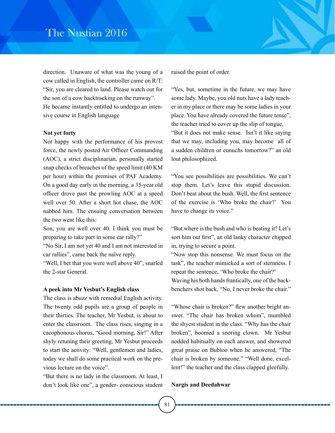direction. Unaware of what was the young of a cow called in English, the controller came on R/T: "Sir, you are cleared to land. Please watch out for the son of a cow backtracking on the runway". He became instantly entitled to undergo an intensive course in English language

### **Not yet forty**

Not happy with the performance of his provost force, the newly posted Air Officer Commanding (AOC), a strict disciplinarian, personally started snap checks of breaches of the speed limit (40 KM per hour) within the premises of PAF Academy. On a good day early in the morning, a 35-year old officer drove past the prowling AOC at a speed well over 50. After a short hot chase, the AOC nabbed him. The ensuing conversation between the two went like this:

Son, you are well over 40. I think you must be preparing to take part in some car rally?"

"No Sir, I am not yet 40 and I am not interested in car rallies", came back the naïve reply.

"Well, I bet that you were well above 40", snarled the 2-star General.

#### **A peek into Mr Yesbut's English class**

The class is abuzz with remedial English activity. The twenty odd pupils are a group of people in their thirties. The teacher, Mr Yesbut, is about to enter the classroom. The class rises, singing in a cacophonous chorus, "Good morning, Sir!" After shyly retuning their greeting, Mr Yesbut proceeds to start the activity: "Well, gentlemen and ladies, today we shall do some practical work on the previous lecture on the voice".

"But there is no lady in the classroom. At least, I don't look like one", a gender- conscious student raised the point of order.

"Yes, but, sometime in the future, we may have some lady. Maybe, you old nuts have a lady teacher in my place or there may be some ladies in your place. You have already covered the future tense", the teacher tried to cover up the slip of tongue. "But it does not make sense. Isn't it like saying that we may, including you, may become all of a sudden children or eunuchs tomorrow?" an old lout philosophized.

"You see possibilities are possibilities. We can't stop them. Let's leave this stupid discussion. Don't beat about the bush. Well, the first sentence of the exercise is 'Who broke the chair?' You have to change its voice."

"But where is the bush and who is beating it? Let's sort him out first", an old lanky character chipped in, trying to secure a point.

"Now stop this nonsense. We must focus on the task", the teacher mimicked a sort of sternness. I repeat the sentence, 'Who broke the chair?' Waving his both hands frantically, one of the backbenchers shot back, "No, I never broke the chair."

"Whose chair is broken?" flew another bright answer. "The chair has broken whom", mumbled the shyest student in the class. "Why has the chair broken", boomed a snoring clown. Mr Yesbut nodded habitually on each answer, and showered great praise on Bubloo when he answered, "The chair is broken by someone." "Well done, excellent!" the teacher and the class clapped gleefully.

### **Nargis and Deedahwar**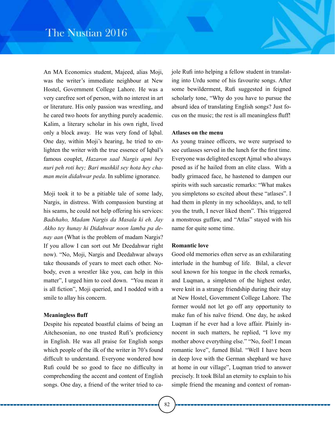An MA Economics student, Majeed, alias Moji, was the writer's immediate neighbour at New Hostel, Government College Lahore. He was a very carefree sort of person, with no interest in art or literature. His only passion was wrestling, and he cared two hoots for anything purely academic. Kalim, a literary scholar in his own right, lived only a block away. He was very fond of Iqbal. One day, within Moji's hearing, he tried to enlighten the writer with the true essence of Iqbal's famous couplet, *Hazaron saal Nargis apni bey nuri peh roti hey; Bari mushkil sey hota hey chaman mein didahwar peda*. In sublime ignorance.

Moji took it to be a pitiable tale of some lady, Nargis, in distress. With compassion bursting at his seams, he could not help offering his services: *Badshaho, Madam Nargis da Masala ki eh. Jay Akho tey hunay hi Didahwar noon lamba pa denay aan* (What is the problem of madam Nargis? If you allow I can sort out Mr Deedahwar right now). "No, Moji, Nargis and Deedahwar always take thousands of years to meet each other. Nobody, even a wrestler like you, can help in this matter", I urged him to cool down. "You mean it is all fiction", Moji queried, and I nodded with a smile to allay his concern.

### **Meaningless fluff**

Despite his repeated boastful claims of being an Aitchesonian, no one trusted Rufi's proficiency in English. He was all praise for English songs which people of the ilk of the writer in 70's found difficult to understand. Everyone wondered how Rufi could be so good to face no difficulty in comprehending the accent and content of English songs. One day, a friend of the writer tried to cajole Rufi into helping a fellow student in translating into Urdu some of his favourite songs. After some bewilderment, Rufi suggested in feigned scholarly tone, "Why do you have to pursue the absurd idea of translating English songs? Just focus on the music; the rest is all meaningless fluff!

### **Atlases on the menu**

As young trainee officers, we were surprised to see cutlasses served in the lunch for the first time. Everyone was delighted except Ajmal who always posed as if he hailed from an elite class. With a badly grimaced face, he hastened to dampen our spirits with such sarcastic remarks: "What makes you simpletons so excited about these "atlases". I had them in plenty in my schooldays, and, to tell you the truth, I never liked them". This triggered a monstrous guffaw, and "Atlas" stayed with his name for quite some time.

#### **Romantic love**

Good old memories often serve as an exhilarating interlude in the humbug of life. Bilal, a clever soul known for his tongue in the cheek remarks, and Luqman, a simpleton of the highest order, were knit in a strange friendship during their stay at New Hostel, Government College Lahore. The former would not let go off any opportunity to make fun of his naïve friend. One day, he asked Luqman if he ever had a love affair. Plainly innocent in such matters, he replied, "I love my mother above everything else." "No, fool! I mean romantic love", fumed Bilal. "Well I have been in deep love with the German shephard we have at home in our village", Luqman tried to answer precisely. It took Bilal an eternity to explain to his simple friend the meaning and context of roman